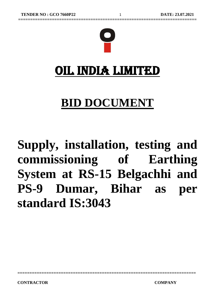

**==========================================================================**

# OIL INDIA LIMITED

# **BID DOCUMENT**

# **Supply, installation, testing and commissioning of Earthing System at RS-15 Belgachhi and PS-9 Dumar, Bihar as per standard IS:3043**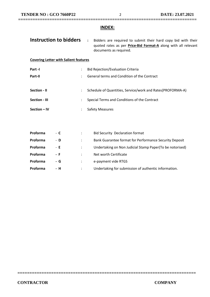#### **INDEX:**

**==========================================================================**

| Instruction to bidders                       |                      | $\ddot{\phantom{a}}$<br>Bidders are required to submit their hard copy bid with their<br>quoted rates as per <b>Price-Bid Format-A</b> along with all relevant<br>documents as required. |
|----------------------------------------------|----------------------|------------------------------------------------------------------------------------------------------------------------------------------------------------------------------------------|
| <b>Covering Letter with Salient features</b> |                      |                                                                                                                                                                                          |
| Part -I                                      | $\ddot{\phantom{0}}$ | <b>Bid Rejection/Evaluation Criteria</b>                                                                                                                                                 |
| Part-II                                      |                      | General terms and Condition of the Contract                                                                                                                                              |
| Section - II<br>Section - III                | $\ddot{\phantom{a}}$ | Schedule of Quantities, Service/work and Rates(PROFORMA-A)<br>Special Terms and Conditions of the Contract                                                                               |
| Section - IV                                 |                      | <b>Safety Measures</b>                                                                                                                                                                   |
|                                              |                      |                                                                                                                                                                                          |
| Proforma<br>- C                              | $\ddot{\phantom{a}}$ | <b>Bid Security Declaration format</b>                                                                                                                                                   |

| <b>Proforma</b> | - D | Bank Guarantee format for Performance Security Deposit   |
|-----------------|-----|----------------------------------------------------------|
| Proforma        | - E | Undertaking on Non Judicial Stamp Paper(To be notorised) |
| <b>Proforma</b> | - F | Net worth Certificate                                    |
| Proforma        | - G | e-payment vide RTGS                                      |
| <b>Proforma</b> | - H | Undertaking for submission of authentic information.     |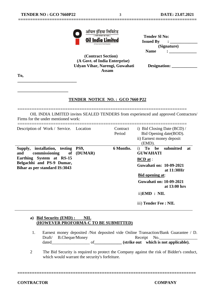**\_\_\_\_\_\_\_\_\_\_\_\_\_\_\_\_\_\_\_\_\_\_\_\_\_\_\_\_**

**\_\_\_\_\_\_\_\_\_\_\_\_\_\_\_\_\_\_\_\_\_\_\_\_**



| ंभारत सरकार का उद्यम )<br><b>Oil India Limited</b> | <b>Tender SI No:</b><br><b>Issued By</b> |
|----------------------------------------------------|------------------------------------------|
| (A Government of India Enterprise)                 | (Signature)                              |
| $\sim$<br>$\sim$ $\sim$ $\sim$ $\sim$ $\sim$       | <b>Name</b>                              |

 **(Contract Section) (A Govt. of India Enterprise) Udyan Vihar, Narengi, Guwahati Designation: \_\_\_\_\_\_\_\_\_\_\_\_ Assam**

**==========================================================================**

**To,**

#### **TENDER NOTICE NO. : GCO 7660 P22**

======================================================================= OIL INDIA LIMITED invites SEALED TENDERS from experienced and approved Contractors/ Firms for the under mentioned work:

| Description of Work / Service. Location                                                                                                               |                        | Contract<br>Period | i) Bid Closing Date $(BCD)$ /<br>Bid Opening date (BOD).<br>ii) Earnest money deposit<br>(EMD).                                                                                                                                                    |
|-------------------------------------------------------------------------------------------------------------------------------------------------------|------------------------|--------------------|----------------------------------------------------------------------------------------------------------------------------------------------------------------------------------------------------------------------------------------------------|
| Supply, installation, testing<br>commissioning<br>of<br>and<br>Earthing System at RS-15<br>Belgachhi and PS-9 Dumar,<br>Bihar as per standard IS:3043 | <b>PS9.</b><br>(DUMAR) | 6 Months.          | To<br>be<br>submitted<br>$\mathbf{i}$<br>at<br><b>GUWAHATI</b><br><b>BCD</b> at :<br>Guwahati on: 10-09-2021<br>at 11:30Hr<br><b>Bid opening at:</b><br>Guwahati on: 10-09-2021<br>at 13:00 hrs<br>$ii)$ <b>EMD</b> : NIL<br>iii) Tender Fee : NIL |

#### **a) Bid Security (EMD) : NIL (HOWEVER PROFORMA-C TO BE SUBMITTED)**

- 1. Earnest money deposited /Not deposited vide Online Transaction/Bank Guarantee / D. Draft/ B.Cheque/Money Receipt No. dated\_\_\_\_\_\_\_\_\_\_\_\_\_\_\_\_\_\_ of**\_\_\_\_\_\_\_\_\_\_\_\_\_ (strike out which is not applicable).**
- 2 The Bid Security is required to protect the Company against the risk of Bidder's conduct, which would warrant the security's forfeiture.

**==========================================================================**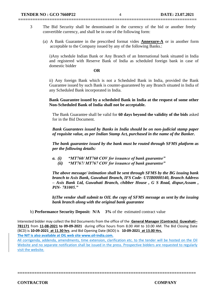3 The Bid Security shall be denominated in the currency of the bid or another freely convertible currency, and shall be in one of the following form:

**==========================================================================**

(a) A Bank Guarantee in the prescribed format vides **Annexure-A** or in another form acceptable to the Company issued by any of the following Banks.:

i)Any schedule Indian Bank or Any Branch of an International bank situated in India and registered with Reserve Bank of India as scheduled foreign bank in case of domestic bidder

#### **OR**

ii) Any foreign Bank which is not a Scheduled Bank in India, provided the Bank Guarantee issued by such Bank is counter-guaranteed by any Branch situated in India of any Scheduled Bank incorporated in India.

**Bank Guarantee issued by a scheduled Bank in India at the request of some other Non-Scheduled Bank of India shall not be acceptable.**

The Bank Guarantee shall be valid for **60 days beyond the validity of the bids** asked for in the Bid Document.

*Bank Guarantees issued by Banks in India should be on non-judicial stamp paper of requisite value, as per Indian Stamp Act, purchased in the name of the Banker.*

*The bank guarantee issued by the bank must be routed through SFMS platform as per the following details:*

- *a. (i) "MT760/ MT760 COV for issuance of bank guarantee"*
	- *(ii) "MT767/ MT767 COV for issuance of bank guarantee"*

*The above message/ intimation shall be sent through SFMS by the BG issuing bank branch to Axis Bank, Guwahati Branch, IFS Code- UTIB0000140, Branch Address – Axis Bank Ltd, Guwahati Branch, chibber House , G S Road, dispur,Assam , PIN- 781005."*

*b)The vendor shall submit to OIL the copy of SFMS message as sent by the issuing bank branch along with the original bank guarantee*

b) **Performance Security Deposit: N/A 3%** of the estimated contract value

Interested bidder may collect the Bid Documents from the office of the **General Manager (Contracts) Guwahati– 781171** from **11-08-2021 to 09-09-2021** during office hours from 8.00 AM to 10.00 AM. The Bid Closing Date (BCD) is **10-09-2021 at 11.30 hrs**. and Bid Opening Date (BOD) is **10-09-2021 at 13.00 Hrs.**

**The NIT is also available at OIL web site [www.oil-india.com.](http://www.oil-india.com/)**

All corrigenda, addenda, amendments, time extension, clarification etc. to the tender will be hosted on the Oil Website and no separate notification shall be issued in the press. Prospective bidders are requested to regularly visit the website.

**==========================================================================**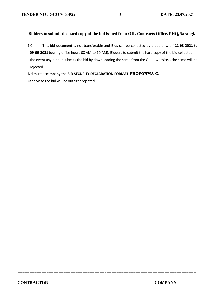#### **Bidders to submit the hard copy of the bid issued from OIL Contracts Office, PHQ,Narangi.**

**==========================================================================**

1.0 This bid document is not transferable and Bids can be collected by bidders w.e.f **11-08-2021 to 09-09-2021** (during office hours 08 AM to 10 AM). Bidders to submit the hard copy of the bid collected. In the event any bidder submits the bid by down loading the same from the OIL website, , the same will be rejected.

**==========================================================================**

Bid must accompany the **BID SECURITY DECLARATION FORMAT PROFORMA-C.** 

Otherwise the bid will be outright rejected.

.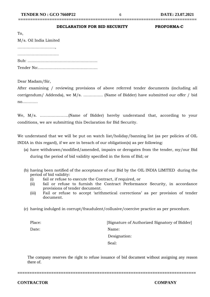## **==========================================================================**

#### **DECLARATION FOR BID SECURITY PROFORMA-C**

| To,                    |
|------------------------|
| M/s. Oil India Limited |
|                        |
|                        |
|                        |
|                        |

Dear Madam/Sir,

After examining / reviewing provisions of above referred tender documents (including all corrigendum/ Addenda), we M/s. …………… (Name of Bidder) have submitted our offer / bid no…………

We, M/s. ………………….(Name of Bidder) hereby understand that, according to your conditions, we are submitting this Declaration for Bid Security.

We understand that we will be put on watch list/holiday/banning list (as per policies of OIL INDIA in this regard), if we are in breach of our obligation(s) as per following:

- (a) have withdrawn/modified/amended, impairs or derogates from the tender, my/our Bid during the period of bid validity specified in the form of Bid; or
- (b) having been notified of the acceptance of our Bid by the OIL INDIA LIMITED during the period of bid validity:
	- (i) fail or refuse to execute the Contract, if required, or
	- (ii) fail or refuse to furnish the Contract Performance Security, in accordance provisions of tender document.
	- (iii) Fail or refuse to accept 'arithmetical corrections' as per provision of tender document.
- (c) having indulged in corrupt/fraudulent/collusive/coercive practice as per procedure.

Place: [Signature of Authorized Signatory of Bidder] Date: Name: Designation: Seal: Seal: Seal: Seal: Seal: Seal: Seal: Seal: Seal: Seal: Seal: Seal: Seal: Seal: Seal: Seal: Seal: Seal: Seal: Seal: Seal: Seal: Seal: Seal: Seal: Seal: Seal: Seal: Seal: Seal: Seal: Seal: Seal: Seal: Seal: Seal: Seal:

The company reserves the right to refuse issuance of bid document without assigning any reason there of.

**==========================================================================**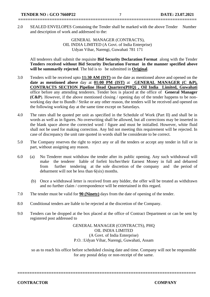2.0 SEALED ENVELOPES Containing the Tender shall be marked with the above Tender Number and description of work and addressed to the:

**==========================================================================**

GENERAL MANAGER (CONTRACTS), OIL INDIA LIMITED (A Govt. of India Enterprise) Udyan Vihar, Narengi, Guwahati 781 171

All tenderers shall submit the requisite **Bid Security Declaration Format** along with the Tender **Tenders received without Bid Security Declaration Format in the manner specified above will be summarily rejected**. The bid is to be submitted in **Original**.

- 3.0 Tenders will be received upto **11:30 AM (IST)** on the date as mentioned above and opened on the **date as mentioned above** day at **01:00 PM (IST)** at **GENERAL MANAGER (C &P), CONTRACTS SECTION Pipeline Head Quarters(PHQ) , Oil India Limited, Guwahati**  office before any attending tenderers. Tender box is placed at the office of **General Manager (C&P**). However, if the above mentioned closing / opening day of the tender happens to be nonworking day due to Bundh / Strike or any other reason, the tenders will be received and opened on the following working day at the same time except on Saturdays.
- 4.0 The rates shall be quoted per unit as specified in the Schedule of Work (Part II) and shall be in words as well as in figures. No overwriting shall be allowed, but all corrections may be inserted in the blank space above the corrected word / figure and must be initialled. However, white fluid shall not be used for making correction. Any bid not meeting this requirement will be rejected. In case of discrepancy the unit rate quoted in words shall be considerate to be correct.
- 5.0 The Company reserves the right to reject any or all the tenders or accept any tender in full or in part, without assigning any reason.
- 6.0 (a) No Tenderer must withdraw the tender after its public opening. Any such withdrawal will make the tenderer liable of forfeit his/her/their Earnest Money in full and debarred from further tendering at the sole discretion of the company and the period of debarment will not be less than 6(six) months.
	- (b) Once a withdrawal letter is received from any bidder, the offer will be treated as withdrawn and no further claim / correspondence will be entertained in this regard.
- 7.0 The tender must be valid for **90 (Ninety)** days from the date of opening of the tender.
- 8.0 Conditional tenders are liable to be rejected at the discretion of the Company.
- 9.0 Tenders can be dropped at the box placed at the office of Contract Department or can be sent by registered post addressed to

GENERAL MANAGER (CONTRACTS), PHQ OIL INDIA LIMITED (A Govt. of India Enterprise) P.O. :Udyan Vihar, Narengi, Guwahati, Assam

so as to reach his office before scheduled closing date and time. Company will not be responsible for any postal delay or non-receipt of the same.

**==========================================================================**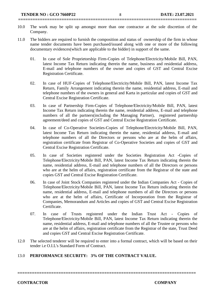10.0 The work may be split up amongst more than one contractor at the sole discretion of the Company.

**==========================================================================**

- 11.0 The bidders are required to furnish the composition and status of ownership of the firm in whose name tender documents have been purchased/issued along with one or more of the following documentary evidences(which are applicable to the bidder) in support of the same.
	- 01. In case of Sole Proprietorship Firm-Copies of Telephone/Electricity/Mobile Bill, PAN, latest Income Tax Return indicating therein the name, business and residential address, E-mail and telephone numbers of the owner and copies of GST and Central Excise Registration Certificate.
	- 02. In case of HUF-Copies of Telephone/Electricity/Mobile Bill, PAN, latest Income Tax Return, Family Arrangement indicating therein the name, residential address, E-mail and telephone numbers of the owners in general and Karta in particular and copies of GST and Central Excise Registration Certificate.
	- 03. In case of Partnership Firm-Copies of Telephone/Electricity/Mobile Bill, PAN, latest Income Tax Return indicating therein the name, residential address, E-mail and telephone numbers of all the partners(including the Managing Partner), registered partnership agreement/deed and copies of GST and Central Excise Registration Certificate.
	- 04. In case of Co-Operative Societies-Copies of Telephone/Electricity/Mobile Bill, PAN, latest Income Tax Return indicating therein the name, residential address, E-mail and telephone numbers of all the Directors or persons who are at the helm of affairs, registration certificate from Registrar of Co-Operative Societies and copies of GST and Central Excise Registration Certificate.
	- 05. In case of Societies registered under the Societies Registration Act -Copies of Telephone/Electricity/Mobile Bill, PAN, latest Income Tax Return indicating therein the name, residential address, E-mail and telephone numbers of all the Directors or persons who are at the helm of affairs, registration certificate from the Registrar of the state and copies GST and Central Excise Registration Certificate.
	- 06. In case of Joint Stock Companies registered under the Indian Companies Act Copies of Telephone/Electricity/Mobile Bill, PAN, latest Income Tax Return indicating therein the name, residential address, E-mail and telephone numbers of all the Directors or persons who are at the helm of affairs, Certificate of Incorporation from the Registrar of Companies, Memorandum and Articles and copies of GST and Central Excise Registration Certificate.
	- 07. In case of Trusts registered under the Indian Trust Act Copies of Telephone/Electricity/Mobile Bill, PAN, latest Income Tax Return indicating therein the name, residential address, E-mail and telephone numbers of all the Trustee or persons who are at the helm of affairs, registration certificate from the Registrar of the state, Trust Deed and copies GST and Central Excise Registration Certificate.
- 12.0 The selected tenderer will be required to enter into a formal contract, which will be based on their tender i.e O.I.L's Standard Form of Contract.

#### 13.0 **PERFORMANCE SECURITY: 3% OF THE CONTRACT VALUE.**

**==========================================================================**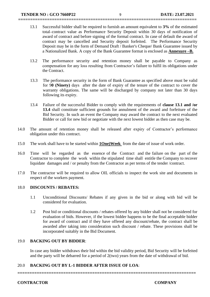13.1 Successful bidder shall be required to furnish an amount equivalent to **3%** of the estimated total contract value as Performance Security Deposit within 30 days of notification of award of contract and before signing of the formal contract. In case of default the award of contract may be cancelled and Security deposit forfeited. The Performance Security Deposit may be in the form of Demand Draft / Banker's Cheque/ Bank Guarantee issued by a Nationalized Bank. A copy of the Bank Guarantee format is enclosed as **Annexure –B.**

**==========================================================================**

- 13.2 The performance security and retention money shall be payable to Company as compensation for any loss resulting from Contractor's failure to fulfil its obligations under the Contract.
- 13.3 The performance security in the form of Bank Guarantee as specified above must be valid for 9**0 (Ninety)** days after the date of expiry of the tenure of the contract to cover the warranty obligations. The same will be discharged by company not later than 30 days following its expiry.
- 13.4 Failure of the successful Bidder to comply with the requirements of **clause 13.1 and /or 13.4** shall constitute sufficient grounds for annulment of the award and forfeiture of the Bid Security. In such an event the Company may award the contract to the next evaluated Bidder or call for new bid or negotiate with the next lowest bidder as then case may be.
- 14.0 The amount of retention money shall be released after expiry of Contractor's performance obligation under this contract.
- 15.0 The work shall have to be started within **1One)Week** from the date of issue of work order.
- 16.0 Time will be regarded as the essence of the Contract and the failure on the part of the Contractor to complete the work within the stipulated time shall entitle the Company to recover liquidate damages and / or penalty from the Contractor as per terms of the tender /contract.
- 17.0 The contractor will be required to allow OIL officials to inspect the work site and documents in respect of the workers payment.

#### 18.0 **DISCOUNTS / REBATES:**

- 1.1 Unconditional Discounts/ Rebates if any given in the bid or along with bid will be considered for evaluation.
- 1.2 Post bid or conditional discounts / rebates offered by any bidder shall not be considered for evaluation of bids. However, if the lowest bidder happens to be the final acceptable bidder for award of contract and if they have offered any discount/rebate, the contract shall be awarded after taking into consideration such discount / rebate. These provisions shall be incorporated suitably in the Bid Document.

#### 19.0 **BACKING OUT BY BIDDER**:

In case any bidder withdraws their bid within the bid validity period, Bid Security will be forfeited and the party will be debarred for a period of 2(two) years from the date of withdrawal of bid.

#### 20.0 **BACKING OUT BY L-1 BIDDER AFTER ISSUE OF LOA**: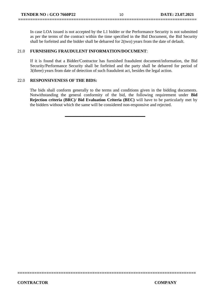In case LOA issued is not accepted by the L1 bidder or the Performance Security is not submitted as per the terms of the contract within the time specified in the Bid Document, the Bid Security shall be forfeited and the bidder shall be debarred for 2(two) years from the date of default.

**==========================================================================**

#### 21.0 **FURNISHING FRAUDULENT INFORMATION/DOCUMENT**:

If it is found that a Bidder/Contractor has furnished fraudulent document/information, the Bid Security/Performance Security shall be forfeited and the party shall be debarred for period of 3(three) years from date of detection of such fraudulent act, besides the legal action.

#### 22.0 **RESPONSIVENESS OF THE BIDS:**

The bids shall conform generally to the terms and conditions given in the bidding documents. Notwithstanding the general conformity of the bid, the following requirement under **Bid Rejection criteria (BRC)/ Bid Evaluation Criteria (BEC)** will have to be particularly met by the bidders without which the same will be considered non-responsive and rejected.

**\_\_\_\_\_\_\_\_\_\_\_\_\_\_\_\_\_\_\_\_\_\_\_\_\_\_\_\_\_\_\_\_\_\_\_\_\_\_**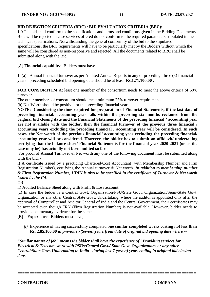#### **BID REJECTION CRITERIA (BRC) / BID EVALUATION CRITERIA (BEC):**

1.0 The bid shall conform to the specifications and terms and conditions given in the Bidding Documents. Bids will be rejected in case services offered do not conform to the required parameters stipulated in the technical specifications. Notwithstanding the general conformity of the bid to the stipulated specifications, the BRC requirements will have to be particularly met by the Bidders without which the same will be considered as non-responsive and rejected. All the documents related to BRC shall be submitted along with the Bid.

**==========================================================================**

#### [A] **Financial capability**: Bidders must have

1. (a) Annual financial turnover as per Audited Annual Reports in any of preceding three (3) financial years preceding scheduled bid opening date should be at least **Rs.1,71,100.00** .

**FOR CONSORTIUM**:At least one member of the consortium needs to meet the above criteria of 50% turnover.

The other members of consortium should meet minimum 25% turnover requirement.

(b) Net Worth should be positive for the preceding financial year.

**NOTE: -Considering the time required for preparation of Financial Statements, if the last date of preceding financial/ accounting year falls within the preceding six months reckoned from the original bid closing date and the Financial Statements of the preceding financial / accounting year are not available with the bidder, then the financial turnover of the previous three financial / accounting years excluding the preceding financial / accounting year will be considered. In such cases, the Net worth of the previous financial/ accounting year excluding the preceding financial/ accounting year will be considered. However, the bidder has to submit an affidavit/ undertaking certifying that the balance sheet/ Financial Statements for the financial year 2020-2021 (or as the case may be) has actually not been audited so far.**

For proof of Annual Turnover & Net worth any one of the following document must be submitted along with the bid: -

i) A certificate issued by a practicing Chartered/Cost Accountant (with Membership Number and Firm Registration Number), certifying the Annual turnover & Net worth. *In addition to membership number & Firm Registration Number, UDIN is also to be specified in the certificate of Turnover & Net worth issued by the CA.*

OR

ii) Audited Balance Sheet along with Profit & Loss account.

(c) In case the bidder is a Central Govt. Organization/PSU/State Govt. Organization/Semi-State Govt. Organization or any other Central/State Govt. Undertaking, where the auditor is appointed only after the approval of Comptroller and Auditor General of India and the Central Government, their certificates may be accepted even though FRN (Firm Registration Number) is not available. However, bidder needs to provide documentary evidence for the same.

[B] **Experience**: Bidders must have;

*(i)* Experience of having successfully completed o**ne similar completed works costing not less than Rs. 2,85,100.00** *in previous 7(Seven) years from date of original bid opening date where --*

*"Similar nature of job" means the bidder shall have the experience of "Providing services for Electrical & Telecom work with PSUs/Central Govt./ State Govt. Organizations or any other Central/State Govt. Undertaking in India" during last 7 (seven) years ending in original bid closing date.*

**==========================================================================**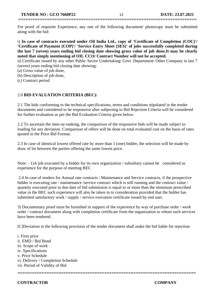For proof of requisite Experience, any one of the following document/ photocopy must be submitted along with the bid:

**==========================================================================**

i) **In case of contracts executed under Oil India Ltd., copy of 'Certificate of Completion (COC)'/ 'Certificate of Payment (COP)'/ 'Service Entry Sheet (SES)' of jobs successfully completed during the last 7 (seven) years ending bid closing date showing gross value of job done.It may be clearly noted that simply mentioning of OIL CCO/ Contract Number will not be accepted.**

ii) Certificate issued by any other Public Sector Undertaking/ Govt. Department/ Other Company in last 7 (seven) years ending bid closing date showing:

(a) Gross value of job done,

(b) Description of job done,

(c) Contract period

#### 2.0 **BID EVALUATION CRITERIA (BEC):**

2.1 The bids conforming to the technical specifications, terms and conditions stipulated in the tender documents and considered to be responsive after subjecting to Bid Rejection Criteria will be considered for further evaluation as per the Bid Evaluation Criteria given below.

2.2 To ascertain the inter-se-ranking, the comparison of the responsive bids will be made subject to loading for any deviation. Comparison of offers will be done on total evaluated cost on the basis of rates quoted in the Price Bid Format.

2.3 In case of identical lowest offered rate by more than 1 (one) bidder, the selection will be made by draw of lot between the parties offering the same lowest price.

Note: - 1)A job executed by a bidder for its own organization / subsidiary cannot be considered as experience for the purpose of meeting BEC

2.4 In case of tenders for Annual rate contracts / Maintenance and Service contracts, if the prospective bidder is executing rate / maintenance /service contract which is still running and the contract value / quantity executed prior to due date of bid submission is equal to or more than the minimum prescribed value in the BEC such experience will also be taken in to consideration provided that the bidder has submitted satisfactory work / supply / service execution certificate issued by end user.

3) Documentary proof must be furnished in support of the experience by way of purchase order / work order / contract document along with completion certificate from the organization to whom such services have been rendered.

[C]Deviation to the following provision of the tender document shall make the bid liable for rejection:

i. Firm price ii. EMD / Bid Bond iii. Scope of work iv. Specifications v. Price Schedule vi. Delivery / Completion Schedule vii. Period of Validity of Bid

**CONTRACTOR COMPANY**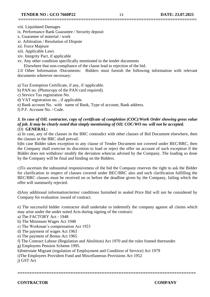**==========================================================================**

viii. Liquidated Damages

ix. Performance Bank Guarantee / Security deposit

x. Guarantee of material / work

xi. Arbitration / Resolution of Dispute

xii. Force Majeure

xiii. Applicable Laws

xiv. Integrity Pact, if applicable

xv. Any other condition specifically mentioned in the tender documents

Elsewhere that non-compliance of the clause lead to rejection of the bid.

2.0 Other Information /Documents: Bidders must furnish the following information with relevant documents wherever necessary:

a) Tax Exemption Certificate, if any, if /applicable.

b) PAN no. (Photocopy of the PAN card required).

c) Service Tax registration No.

d) VAT registration no. , if applicable.

e) Bank account No. with name of Bank, Type of account, Bank address.

f) P.F. Account No. / Code.

#### *3. In case of OIL contractor, copy of certificate of completion (COC)/Work Order showing gross value of job. It may be clearly noted that simply mentioning of OIL COC/WO no. will not be accepted.* (D) **GENERAL:**

a) In case, any of the clauses in the BRC contradict with other clauses of Bid Document elsewhere, then the clauses in the BRC shall prevail.

b)In case Bidder takes exception to any clause of Tender Document not covered under BEC/BRC, then the Company shall exercise its discretion to load or reject the offer on account of such exception if the Bidder does not withdraw/ modify the deviation when/as advised by the Company. The loading so done by the Company will be final and binding on the Bidders.

c)To ascertain the substantial responsiveness of the bid the Company reserves the right to ask the Bidder for clarification in respect of clauses covered under BEC/BRC also and such clarification fulfilling the BEC/BRC clauses must be received on or before the deadline given by the Company, failing which the offer will summarily rejected.

d)Any additional information/terms/ conditions furnished in sealed Price Bid will not be considered by Company for evaluation /award of contract.

e) The successful bidder /contractor shall undertake to indemnify the company against all claims which may arise under the under noted Acts during signing of the contract:

**==========================================================================**

a) The FACTORY Act - 1948

b) The Minimum Wages Act 1948

c) The Workman's compensation Act 1923

d) The payment of wages Act 1963

e) The payment of Bonus Act 1965

f) The Contract Labour (Regulation and Abolition) Act 1970 and the rules framed thereunder.

g) Employees Pension Scheme 1995.

h)Interstate Migrant (regulation of Employment and Condition of Service) Act 1979

i)The Employees Provident Fund and Miscellaneous Provisions Act 1952

j) GST Act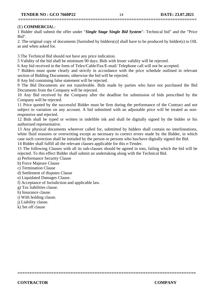#### (E) **COMMERCIA**L:

1 Bidder shall submit the offer under "*Single Stage Single Bid System*"- Technical bid" and the "Price Bid".

2. The original copy of documents [furnished by bidders(s)] shall have to be produced by bidder(s) to OIL as and when asked for.

3 The Technical Bid should not have any price indication.

5 Validity of the bid shall be minimum 90 days. Bids with lesser validity will be rejected.

6 Any bid received in the form of Telex/Cable/Fax/E-mail/ Telephone call will not be accepted.

7 Bidders must quote clearly and strictly in accordance with the price schedule outlined in relevant section of Bidding Documents; otherwise the bid will be rejected.

8 Any bid containing false statement will be rejected.

9 The Bid Documents are not transferable. Bids made by parties who have not purchased the Bid Documents from the Company will be rejected.

10 Any Bid received by the Company after the deadline for submission of bids prescribed by the Company will be rejected.

11 Price quoted by the successful Bidder must be firm during the performance of the Contract and not subject to variation on any account. A bid submitted with an adjustable price will be treated as nonresponsive and rejected.

12 Bids shall be typed or written in indelible ink and shall be digitally signed by the bidder or his authorized representative.

13 Any physical documents wherever called for, submitted by bidders shall contain no interlineations, white fluid erasures or overwriting except as necessary to correct errors made by the Bidder, in which case such correction shall be initialed by the person or persons who has/have digitally signed the Bid.

14 Bidder shall fulfill all the relevant clauses applicable for this e-Tender.

15 The following Clauses with all its sub-clauses should be agreed in toto, failing which the bid will be rejected. To this effect Bidder shall submit an undertaking along with the Technical Bid.

**==========================================================================**

a) Performance Security Clause

b) Force Majeure Clause

c) Termination Clause

d) Settlement of disputes Clause

e) Liquidated Damages Clause.

f) Acceptance of Jurisdiction and applicable law.

g) Tax liabilities clause.

h) Insurance clause.

i) With holding clause.

j) Liability clause.

k) Set off clause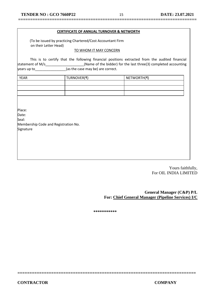**==========================================================================**

#### **CERTIFICATE OF ANNUAL TURNOVER & NETWORTH**

 (To be issued by practicing Chartered/Cost Accountant Firm on their Letter Head)

#### TO WHOM IT MAY CONCERN

This is to certify that the following financial positions extracted from the audited financial statement of M/s  $\overline{M}$  (Name of the bidder) for the last three(3) completed accounting  $\sqrt{\frac{1}{2}}$  years up to  $\sqrt{\frac{1}{2}}$  (as the case may be) are correct.

| <b>YEAR</b> | TURNOVER(₹) | NETWORTH(₹) |
|-------------|-------------|-------------|
|             |             |             |
|             |             |             |
|             |             |             |

Place:

Date:

Seal:

Membership Code and Registration No. Signature

> Yours faithfully, For OIL INDIA LIMITED

**General Manager (C&P) P/L For: Chief General Manager (Pipeline Services) I/C**

**\*\*\*\*\*\*\*\*\*\*\***

**==========================================================================**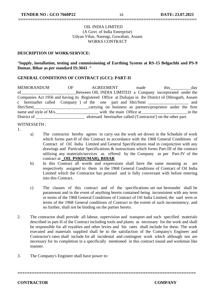#### OIL INDIA LIMITED (A Govt. of India Enterprise) Udyan Vihar, Narengi, Guwahati, Assam WORKS CONTRACT

**==========================================================================**

### **DESCRIPTION OF WORK/SERVICE:**

"**Supply, installation, testing and commissioning of Earthing System at RS-15 Belgachhi and PS-9 Dumar, Bihar as per standard IS:3043.***"*

#### **GENERAL CONDITIONS OF CONTRACT (GCC): PART-II**

MEMORANDUM OF AGREEMENT made this day of **Subsetuber OIL INDIA LIMITED** a Company incorporated under the Companies Act 1956 and having its Registered Office at Duliajan in the District of Dibrugarh, Assam ( hereinafter called Company ) of the one part and Shri/Smti \_\_\_\_\_\_\_\_\_\_\_\_\_\_\_\_\_\_\_ and Shri/Smti name and style of M/s.\_\_\_\_\_\_\_\_\_\_\_\_\_\_\_\_\_\_\_\_ with the main Office at\_\_\_\_\_\_\_\_\_\_\_\_\_\_\_\_\_\_\_\_\_\_in the District of \_\_\_\_\_\_\_\_\_\_\_\_\_\_\_\_\_\_\_\_\_\_\_ aforesaid hereinafter called ('Contractor') on the other part.

#### WITNESSETH :

- 1.
- a) The contractor hereby agrees to carry out the work set drown in the Schedule of work which forms part-II of this Contract in accordance with the 1968 General Conditions of Contract of Oil India Limited and General Specifications read in conjunction with any drawings and Particular Specifications & instructions which forms Part-III of the contract utilizing any materials/services as offered by the Company as per Part-IV of the contract at **\_OIL PS9(DUMAR), BIHAR**
- b) In this Contract all words and expressions shall have the same meaning as are respectively assigned to them in the 1968 General Conditions of Contract of Oil India Limited which the Contractor has perused and is fully conversant with before entering into this Contract.
- c) The clauses of this contract and of the specifications set out hereunder shall be paramount and in the event of anything herein contained being inconsistent with any term or terms of the 1968 General Conditions of Contract of Oil India Limited, the said term or terms of the 1968 General conditions of Contract to the extent of such inconsistency, and no further, shall not be binding on the parties hereto.
- 2. The contractor shall provide all labour, supervision and transport and such specified materials described in part-II of the Contract including tools and plants as necessary for the work and shall be responsible for all royalties and other levies and his rates shall include for these. The work executed and materials supplied shall be to the satisfaction of the Company's Engineer and Contractor's rates shall include for all incidental and contingent work which although not are necessary for its completion in a specifically mentioned in this contract sound and workman like manner.

**==========================================================================**

3. The Company's Engineer shall have power to: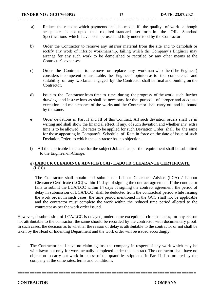a) Reduce the rates at which payments shall be made if the quality of work although acceptable is not upto the required standard set forth in the OIL Standard Specifications which have been perused and fully understood by the Contractor.

**==========================================================================**

- b) Order the Contractor to remove any inferior material from the site and to demolish or rectify any work of inferior workmanship, failing which the Company's Engineer may arrange for any such work to be demolished or rectified by any other means at the Contractor's expenses.
- c) Order the Contractor to remove or replace any workman who he (The Engineer) considers incompetent or unsuitable; the Engineer's opinion as to the competence and suitability of any workman engaged by the Contractor shall be final and binding on the Contractor.
- d) Issue to the Contractor from time to time during the progress of the work such further drawings and instructions as shall be necessary for the purpose of proper and adequate execution and maintenance of the works and the Contractor shall carry out and be bound by the same.
- e) Order deviations in Part II and III of this Contract. All such deviation orders shall be in writing and shall show the financial effect, if any, of such deviation and whether any extra time is to be allowed. The rates to be applied for such Deviation Order shall be the same for those appearing in Company's Schedule of Rate in force on the date of issue of such Deviation Order, to which the contractor has no objection.
- f)All the applicable Insurance for the subject Job and as per the requirement shall be submitted to the Engineer-in-Charge.

#### g) **LABOUR CLEARANCE ADVICE(LCA) / LABOUR CLEARANCE CERTIFICATE (LCC**)

 The Contractor shall obtain and submit the Labour Clearance Advice (LCA) / Labour Clearance Certificate (LCC) within 14 days of signing the contract agreement. If the contractor fails to submit the LCA/LCC within 14 days of signing the contract agreement, the period of delay in submission of LCA/LCC shall be deducted from the contractual period while issuing the work order. In such cases, the time period mentioned in the GCC shall not be applicable and the contractor must complete the work within the reduced time period allotted to the contractor as per the work order issued.

However, if submission of LCA/LCC is delayed, under some exceptional circumstances, for any reason not attributable to the contractor, the same should be recorded by the contractor with documentary proof. In such cases, the decision as to whether the reason of delay is attributable to the contractor or not shall be taken by the Head of Indenting Department and the work order will be issued accordingly.

4. The Contractor shall have no claim against the company in respect of any work which may be withdrawn but only for work actually completed under this contract. The contractor shall have no objection to carry out work in excess of the quantities stipulated in Part-II if so ordered by the company at the same rates, terms and conditions.

**==========================================================================**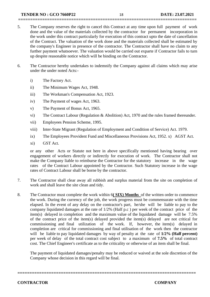5. The Company reserves the right to cancel this Contract at any time upon full payment of work done and the value of the materials collected by the contractor for permanent incorporation in the work under this contract particularly for execution of this contract upto the date of cancellation of the Contract. The valuation of the work done and the materials collected shall be estimated by the company's Engineer in presence of the contractor. The Contractor shall have no claim to any further payment whatsoever. The valuation would be carried out exparte if Contractor fails to turn up despite reasonable notice which will be binding on the Contractor.

**==========================================================================**

- 6. The Contractor hereby undertakes to indemnify the Company against all claims which may arise under the under noted Acts:
	- i) The Factory Act.
	- ii) The Minimum Wages Act, 1948.
	- iii) The Workman's Compensation Act, 1923.
	- iv) The Payment of wages Act, 1963.
	- v) The Payment of Bonus Act, 1965.
	- vi) The Contract Labour (Regulation & Abolition) Act, 1970 and the rules framed thereunder.
	- vii) Employees Pension Scheme, 1995.
	- viii) Inter-State Migrant (Regulation of Employment and Condition of Service) Act. 1979.
	- ix) The Employees Provident Fund and Miscellaneous Provisions Act, 1952. x) AGST Act.
	- xi) GST Act.

or any other Acts or Statute not here in above specifically mentioned having bearing over engagement of workers directly or indirectly for execution of work. The Contractor shall not make the Company liable to reimburse the Contractor for the statutory increase in the wage rates of the Contract Labour appointed by the Contractor. Such Statutory increase in the wage rates of Contract Labour shall be borne by the contractor.

- 7. The Contractor shall clear away all rubbish and surplus material from the site on completion of work and shall leave the site clean and tidy.
- 8. The Contractor must complete the work within 6**( SIX) Months** of the written order to commence the work. During the currency of the job, the work progress must be commensurate with the time elapsed. In the event of any delay on the contractor's part, he/she will be liable to pay to the company liquidated damages at the rate of 1/2% (Half p.c ) per week of the contract price of the item(s) delayed in completion and the maximum value of the liquidated damage will be 7.5% of the contract price of the item(s) delayed provided the item(s) delayed are not critical for commissioning and final utilization of the work. If, however, the item(s) delayed in completion are critical for commissioning and final utilisation of the work then the contractor will be liable to pay liquidated damages by way of penalty at the rate of **1/2% (Half percent)** per week of delay of the total contract cost subject to a maximum of **7.5%** of total contract cost. The Chief Engineer's certificate as to the criticality or otherwise of an item shall be final.

The payment of liquidated damages/penalty may be reduced or waived at the sole discretion of the Company whose decision in this regard will be final.

**==========================================================================**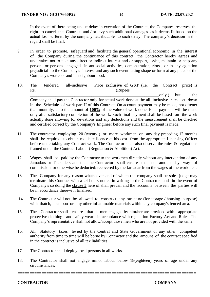In the event of there being undue delay in execution of the Contract, the Company reserves the right to cancel the Contract and / or levy such additional damages as it deems fit based on the actual loss suffered by the company attributable to such delay. The company's decision in this regard shall be final.

9. In order to promote, safeguard and facilitate the general operational economic in the interest of the Company during the continuance of this contract the Contractor hereby agrees and undertakes not to take any direct or indirect interest and or support, assist, maintain or help any person or persons engaged in antisocial activities, demonstration, riots , or in any agitation prejudicial to the Company's interest and any such event taking shape or form at any place of the Company's works or and its neighbourhood.

**==========================================================================**

- 10. The tendered all-inclusive Price **exclusive of GST** (i.e. the Contract price) is Rs.\_\_\_\_\_\_\_\_\_\_\_\_\_\_\_\_\_\_\_\_\_\_\_\_\_\_\_\_ (Rupees\_\_\_\_\_\_\_\_\_\_\_\_\_\_\_\_\_\_\_\_\_\_\_\_\_\_\_\_\_\_\_\_ \_\_\_\_\_\_\_\_\_\_\_\_\_\_\_\_\_\_\_\_\_\_\_\_\_\_\_\_\_\_\_\_\_\_\_\_\_\_\_\_\_\_\_\_\_\_\_\_\_\_\_\_\_\_\_\_\_\_\_\_\_only.) but the Company shall pay the Contractor only for actual work done at the all inclusive rates set down in the Schedule of work part II of this Contract. On account payment may be made, not oftener than monthly, upto the amount of **100%** of the value of work done. Final payment will be made only after satisfactory completion of the work. Such final payment shall be based on the work
- 11. The contractor employing 20 (twenty ) or more workmen on any day preceding 12 months shall be required to obtain requisite licence at his cost from the appropriate Licensing Officer before undertaking any Contract work. The Contractor shall also observe the rules & regulations framed under the Contract Labour (Regulation & Abolition) Act.

and certified correct by the Company's Engineer before any such final payment is made.

actually done allowing for deviations and any deductions and the measurement shall be checked

- 12. Wages shall be paid by the Contractor to the workmen directly without any intervention of any Jamadars or Thekaders and that the Contractor shall ensure that no amount by way of commission or otherwise be deducted/ recovered by the Jamadar from the wages of the workmen.
- 13. The Company for any reason whatsoever and of which the company shall be sole judge may terminate this Contract with a 24 hours notice in writing to the Contractor and in the event of Company's so doing the **clause 5** here of shall prevail and the accounts between the parties will be in accordance therewith finalised.
- 14. The Contractor will not be allowed to construct any structure (for storage / housing purpose) with thatch, bamboo or any other inflammable materials within any company's fenced area.
- 15. The Contractor shall ensure that all men engaged by him/her are provided with appropriate protective clothing and safety wear in accordance with regulation Factory Act and Rules. The Company's representative shall not allow/accept those men who are not provided with the same.
- 16. All Statutory taxes levied by the Central and State Government or any other competent authority from time to time will be borne by Contractor and the amount of the contract specified in the contract is inclusive of all tax liabilities.
- 17. The Contractor shall deploy local persons in all works.
- 18. The Contractor shall not engage minor labour below 18(eighteen) years of age under any circumstances.

**==========================================================================**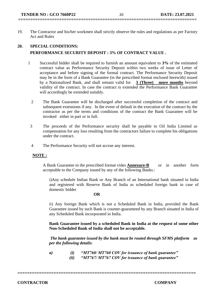## **==========================================================================**

19. The Contractor and his/her workmen shall strictly observe the rules and regulations as per Factory Act and Rules

### **20. SPECIAL CONDITIONS: PERFORMANCE SECURITY DEPOSIT : 3% OF CONTRACT VALUE .**

- 1 Successful bidder shall be required to furnish an amount equivalent to **3%** of the estimated contract value as Performance Security Deposit within two weeks of issue of Letter of acceptance and before signing of the formal contract. The Performance Security Deposit may be in the form of a Bank Guarantee (in the prescribed format enclosed herewith) issued by a Nationalized Bank, and shall remain valid for **3 (Three) more months** beyond validity of the contract. In case the contract is extended the Performance Bank Guarantee will accordingly be extended suitably.
	- 2 The Bank Guarantee will be discharged after successful completion of the contract and subsequent extensions if any. In the event of default in the execution of the contract by the contractor as per the terms and conditions of the contract the Bank Guarantee will be invoked either in part or in full.
	- 3 The proceeds of the Performance security shall be payable to Oil India Limited as compensation for any loss resulting from the contractors failure to complete his obligations under the contract.
	- 4 The Performance Security will not accrue any interest.

#### **NOTE :**

A Bank Guarantee in the prescribed format vides **Annexure-B** or in another form acceptable to the Company issued by any of the following Banks.:

i)Any schedule Indian Bank or Any Branch of an International bank situated in India and registered with Reserve Bank of India as scheduled foreign bank in case of domestic bidder

#### **OR**

ii) Any foreign Bank which is not a Scheduled Bank in India, provided the Bank Guarantee issued by such Bank is counter-guaranteed by any Branch situated in India of any Scheduled Bank incorporated in India.

**Bank Guarantee issued by a scheduled Bank in India at the request of some other Non-Scheduled Bank of India shall not be acceptable.**

*The bank guarantee issued by the bank must be routed through SFMS platform as per the following details:*

*a) (i) "MT760/ MT760 COV for issuance of bank guarantee" (ii) "MT767/ MT767 COV for issuance of bank guarantee"*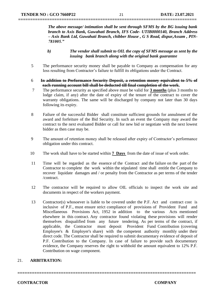*The above message/ intimation shall be sent through SFMS by the BG issuing bank branch to Axis Bank, Guwahati Branch, IFS Code- UTIB0000140, Branch Address – Axis Bank Ltd, Guwahati Branch, chibber House , G S Road, dispur,Assam , PIN-781005."*

- *b) The vendor shall submit to OIL the copy of SFMS message as sent by the issuing bank branch along with the original bank guarantee*
- 5 The performance security money shall be payable to Company as compensation for any loss resulting from Contractor's failure to fulfill its obligations under the Contract.

**==========================================================================**

- 6 **In addition to Performance Security Deposit, a retention money equivalent to 5% of each running account bill shall be deducted till final completion of the work.**
- 7 The performance security as specified above must be valid for **3 months** (plus 3 months to lodge claim, if any) after the date of expiry of the tenure of the contract to cover the warranty obligations. The same will be discharged by company not later than 30 days following its expiry.
- 8 Failure of the successful Bidder shall constitute sufficient grounds for annulment of the award and forfeiture of the Bid Security. In such an event the Company may award the contract to the next evaluated Bidder or call for new bid or negotiate with the next lowest bidder as then case may be.
- 9 The amount of retention money shall be released after expiry of Contractor's performance obligation under this contract.
- 10 The work shall have to be started within **7 Days** from the date of issue of work order.
- 11 Time will be regarded as the essence of the Contract and the failure on the part of the Contractor to complete the work within the stipulated time shall entitle the Company to recover liquidate damages and / or penalty from the Contractor as per terms of the tender /contract.
- 12 The contractor will be required to allow OIL officials to inspect the work site and documents in respect of the workers payment.
- 13 Contractor(s) whosoever is liable to be covered under the P.F. Act and contract cost is inclusive of P.F., must ensure strict compliance of provisions of Provident Fund and Miscellaneous Provisions Act, 1952 in addition to the various Acts mentioned elsewhere in this contract. Any contractor found violating these provisions will render themselves disqualified from any future tendering. As per terms of the contract, if applicable, the Contractor must deposit Provident Fund Contribution (covering Employee's & Employer's share) with the competent authority monthly under their direct code. The Contractor shall be required to submit documentary evidence of deposit of P.F. Contribution to the Company. In case of failure to provide such documentary evidence, the Company reserves the right to withhold the amount equivalent to 12% P.F. Contribution on wage component.

**==========================================================================**

#### 21. **ARBITRATION:**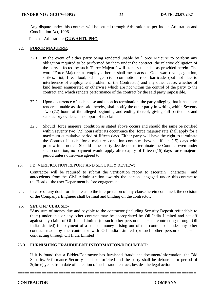Any dispute under this contract will be settled through Arbitration as per Indian Arbitration and Conciliation Act, 1996.

Place of Arbitration: **GUWAHTI, PHQ**.

#### 22. **FORCE MAJUERE:**

- 22.1 In the event of either party being rendered unable by `Force Majeure' to perform any obligation required to be performed by them under the contract, the relative obligation of the party affected by such `Force Majeure' will stand suspended as provided herein. The word `Force Majeure' as employed herein shall mean acts of God, war, revolt, agitation, strikes, riot, fire, flood, sabotage, civil commotion, road barricade (but not due to interference of employment problem of the Contractor) and any other cause, whether of kind herein enumerated or otherwise which are not within the control of the party to the contract and which renders performance of the contract by the said party impossible.
- 22.2 Upon occurrence of such cause and upon its termination, the party alleging that it has been rendered unable as aforesaid thereby, shall notify the other party in writing within Seventy Two (72) hours of the alleged beginning and ending thereof, giving full particulars and satisfactory evidence in support of its claim.
- 22.3 Should `force majeure' condition as stated above occurs and should the same be notified within seventy two (72) hours after its occurrence the 'force majeure' rate shall apply for a maximum cumulative period of fifteen days. Either party will have the right to terminate the Contract if such `force majeure' condition continues beyond fifteen (15) days with prior written notice. Should either party decide not to terminate the Contract even under such condition, no payment would apply after expiry of fifteen (15) days force majeure period unless otherwise agreed to.

#### 23. I.B. VERIFICATION REPORT AND SECURITY REVIEW:

Contractor will be required to submit the verification report to ascertain character and antecedents from the Civil Administration towards the persons engaged under this contract to the Head of the user Department before engagement.

24. In case of any doubt or dispute as to the interpretation of any clause herein contained, the decision of the Company's Engineer shall be final and binding on the contractor.

#### 25. **SET OFF CLAUSE:-**

"Any sum of money due and payable to the contractor (including Security Deposit refundable to them) under this or any other contract may be appropriated by Oil India Limited and set off against any claim of Oil India Limited (or such other person or persons contracting through Oil India Limited) for payment of a sum of money arising out of this contract or under any other contract made by the contractor with Oil India Limited (or such other person or persons contracting through Oil India Limited)."

#### 26.0 **FURNISHING FRAUDULENT INFORMATION/DOCUMENT:**

If it is found that a Bidder/Contractor has furnished fraudulent document/information, the Bid Security/Performance Security shall be forfeited and the party shall be debarred for period of 3(three) years from date of detection of such fraudulent act, besides the legal action.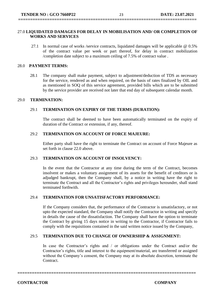# **==========================================================================**

#### 27.0 **LIQUIDATED DAMAGES FOR DELAY IN MOBILISATION AND/ OR COMPLETION OF WORKS AND SERVICES**

27.1 In normal case of works /service contracts, liquidated damages will be applicable @ 0.5% of the contract value per week or part thereof, for delay in contract mobilization /completion date subject to a maximum ceiling of 7.5% of contract value .

#### 28.0 **PAYMENT TERMS:**

28.1 The company shall make payment, subject to adjustment/deduction of TDS as necessary for the service, rendered as and when required, on the basis of rates finalized by OIL and as mentioned in SOQ of this service agreement, provided bills which are to be submitted by the service provider are received not later that end day of subsequent calendar month.

#### 29.0 **TERMINATION:**

#### 29.1 **TERMINATION ON EXPIRY OF THE TERMS (DURATION):**

The contract shall be deemed to have been automatically terminated on the expiry of duration of the Contract or extension, if any, thereof.

#### 29.2 **TERMINATION ON ACCOUNT OF FORCE MAJEURE:**

Either party shall have the right to terminate the Contract on account of Force Majeure as set forth in clause 22.0 above.

#### 29.3 **TERMINATION ON ACCOUNT OF INSOLVENCY:**

In the event that the Contractor at any time during the term of the Contract, becomes insolvent or makes a voluntary assignment of its assets for the benefit of creditors or is adjudged bankrupt, then the Company shall, by a notice in writing have the right to terminate the Contract and all the Contractor's rights and privileges hereunder, shall stand terminated forthwith.

#### 29.4 **TERMINATION FOR UNSATISFACTORY PERFORMANCE:**

If the Company considers that, the performance of the Contractor is unsatisfactory, or not upto the expected standard, the Company shall notify the Contractor in writing and specify in details the cause of the dissatisfaction. The Company shall have the option to terminate the Contract by giving 15 days notice in writing to the Contractor, if Contractor fails to comply with the requisitions contained in the said written notice issued by the Company,

#### 29.5 **TERMINATION DUE TO CHANGE OF OWNERSHIP & ASSIGNMENT:**

**==========================================================================**

In case the Contractor's rights and / or obligations under the Contract and/or the Contractor's rights, title and interest to the equipment/material, are transferred or assigned without the Company's consent, the Company may at its absolute discretion, terminate the Contract.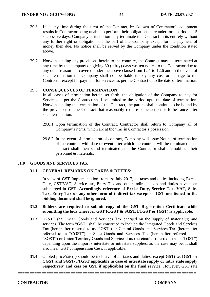29.6 If at any time during the term of the Contract, breakdown of Contractor's equipment results in Contractor being unable to perform their obligations hereunder for a period of 15 successive days, Company at its option may terminate this Contract in its entirely without any further right or obligation on the part of the Company except for the payment of money then due. No notice shall be served by the Company under the condition stated above.

**==========================================================================**

29.7 Notwithstanding any provisions herein to the contrary, the Contract may be terminated at any time by the company on giving 30 (thirty) days written notice to the Contractor due to any other reason not covered under the above clause from 12.1 to 12.6 and in the event of such termination the Company shall not be liable to pay any cost or damage to the Contractor except for payment for services as per the Contract upto the date of termination.

#### 29.8 **CONSEQUENCES OF TERMINATION:**

In all cases of termination herein set forth, the obligation of the Company to pay for Services as per the Contract shall be limited to the period upto the date of termination. Notwithstanding the termination of the Contract, the parties shall continue to be bound by the provisions of the Contract that reasonably require some action or forbearance after such termination.

- 29.8.1 Upon termination of the Contract, Contractor shall return to Company all of Company's items, which are at the time in Contractor's possession.
- 29.8.2 In the event of termination of contract, Company will issue Notice of termination of the contract with date or event after which the contract will be terminated. The contract shall then stand terminated and the Contractor shall demobilize their personnel & materials.

#### **31.0 GOODS AND SERVICES TAX**

#### **31.1 GENERAL REMARKS ON TAXES & DUTIES:**

In view of **GST** Implementation from 1st July 2017, all taxes and duties including Excise Duty, CST/VAT, Service tax, Entry Tax and other indirect taxes and duties have been submerged in **GST**. **Accordingly reference of Excise Duty, Service Tax, VAT, Sales Tax, Entry Tax or any other form of indirect tax except of GST mentioned in the bidding document shall be ignored.** 

#### **31.2 Bidders are required to submit copy of the GST Registration Certificate while submitting the bids wherever GST (CGST & SGST/UTGST or IGST) is applicable.**

- **31.3** "**GST**" shall mean Goods and Services Tax charged on the supply of material(s) and services. The term "**GST**" shall be construed to include the Integrated Goods and Services Tax (hereinafter referred to as "IGST") or Central Goods and Services Tax (hereinafter referred to as "CGST") or State Goods and Services Tax (hereinafter referred to as "SGST") or Union Territory Goods and Services Tax (hereinafter referred to as "UTGST") depending upon the import / interstate or intrastate supplies, as the case may be. It shall also mean GST compensation Cess, if applicable.
- **31.4** Quoted price/rate(s) should be inclusive of all taxes and duties, except **GST(i.e. IGST or CGST and SGST/UTGST applicable in case of interstate supply or intra state supply respectively and cess on GST if applicable) on the final service**. However, GST rate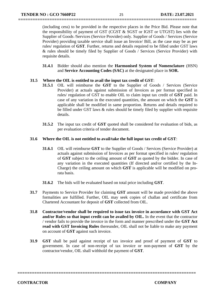(including cess) to be provided in the respective places in the Price Bid. Please note that the responsibility of payment of GST (CGST & SGST or IGST or UTGST) lies with the Supplier of Goods /Services (Service Provider) only. Supplier of Goods / Services (Service Provider) providing taxable service shall issue an Invoice/ Bill, as the case may be as per rules/ regulation of **GST**. Further, returns and details required to be filled under GST laws & rules should be timely filed by Supplier of Goods / Services (Service Provider) with requisite details.

**==========================================================================**

**31.4.1** Bidder should also mention the **Harmonised System of Nomenclature** (HSN) and **Service Accounting Codes (SAC)** at the designated place in **SOR.**

#### **31.5 Where the OIL is entitled to avail the input tax credit of GST**:

- **31.5.1** OIL will reimburse the **GST** to the Supplier of Goods / Services (Service Provider) at actuals against submission of Invoices as per format specified in rules/ regulation of GST to enable OIL to claim input tax credit of **GST** paid. In case of any variation in the executed quantities, the amount on which the **GST** is applicable shall be modified in same proportion. Returns and details required to be filled under GST laws & rules should be timely filed by supplier with requisite details.
- **31.5.2** The input tax credit of **GST** quoted shall be considered for evaluation of bids, as per evaluation criteria of tender document.

#### **31.6 Where the OIL is not entitled to avail/take the full input tax credit of GST**:

- **31.6.1** OIL will reimburse **GST** to the Supplier of Goods / Services (Service Provider) at actuals against submission of Invoices as per format specified in rules/ regulation of **GST** subject to the ceiling amount of **GST** as quoted by the bidder. In case of any variation in the executed quantities (If directed and/or certified by the In-Charge) the ceiling amount on which **GST** is applicable will be modified on prorata basis.
- **31.6.2** The bids will be evaluated based on total price including **GST**.
- **31.7** Payments to Service Provider for claiming **GST** amount will be made provided the above formalities are fulfilled. Further, OIL may seek copies of challan and certificate from Chartered Accountant for deposit of **GST** collected from OIL.
- **31.8 Contractor/vendor shall be required to issue tax invoice in accordance with GST Act and/or Rules so that input credit can be availed by OIL.** In the event that the contractor / vendor fails to provide the invoice in the form and manner prescribed under the **GST Act read with GST Invoicing Rules** thereunder, OIL shall not be liable to make any payment on account of **GST** against such invoice.
- **31.9 GST** shall be paid against receipt of tax invoice and proof of payment of **GST** to government. In case of non-receipt of tax invoice or non-payment of **GST** by the contractor/vendor, OIL shall withhold the payment of **GST**.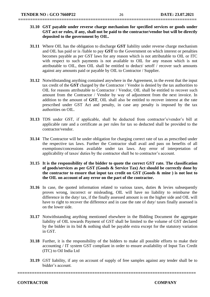- **31.10 GST payable under reverse charge mechanism for specified services or goods under GST act or rules, if any, shall not be paid to the contractor/vendor but will be directly deposited to the government by OIL.**
- **31.11** Where OIL has the obligation to discharge **GST** liability under reverse charge mechanism and OIL has paid or is /liable to pay **GST** to the Government on which interest or penalties becomes payable as per GST laws for any reason which is not attributable to OIL or ITC with respect to such payments is not available to OIL for any reason which is not attributable to OIL, then OIL shall be entitled to deduct/ setoff / recover such amounts against any amounts paid or payable by OIL to Contractor / Supplier.
- **31.12** Notwithstanding anything contained anywhere in the Agreement, in the event that the input tax credit of the **GST** charged by the Contractor / Vendor is denied by the tax authorities to OIL for reasons attributable to Contractor / Vendor, OIL shall be entitled to recover such amount from the Contractor / Vendor by way of adjustment from the next invoice. In addition to the amount of **GST**, OIL shall also be entitled to recover interest at the rate prescribed under GST Act and penalty, in case any penalty is imposed by the tax authorities on OIL.
- **31.13** TDS under GST, if applicable, shall be deducted from contractor's/vendor's bill at applicable rate and a certificate as per rules for tax so deducted shall be provided to the contractor/vendor.
- **31.14** The Contractor will be under obligation for charging correct rate of tax as prescribed under the respective tax laws. Further the Contractor shall avail and pass on benefits of all exemptions/concessions available under tax laws. Any error of interpretation of applicability of taxes/ duties by the contractor shall be to contractor's account.
- **31.15 It is the responsibility of the bidder to quote the correct GST rate. The classification of goods/services as per GST (Goods & Service Tax) Act should be correctly done by the contractor to ensure that input tax credit on GST (Goods & mine ) is not lost to the OIL on account of any error on the part of the contractor.**
- **31.16** In case, the quoted information related to various taxes, duties & levies subsequently proves wrong, incorrect or misleading, OIL will have no liability to reimburse the difference in the duty/ tax, if the finally assessed amount is on the higher side and OIL will have to right to recover the difference and in case the rate of duty/ taxes finally assessed is on the lower side.
- **31.17** Notwithstanding anything mentioned elsewhere in the Bidding Document the aggregate liability of OIL towards Payment of GST shall be limited to the volume of GST declared by the bidder in its bid  $&$  nothing shall be payable extra except for the statutory variation in GST.
- **31.18** Further, it is the responsibility of the bidders to make all possible efforts to make their accounting / IT system GST compliant in order to ensure availability of Input Tax Credit (ITC) to Oil India Ltd
- **31.19** GST liability, if any on account of supply of free samples against any tender shall be to bidder's account.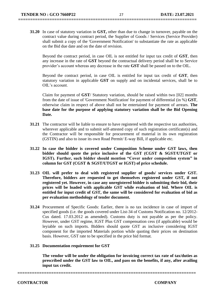**31.20** In case of statutory variation in **GST,** other than due to change in turnover, payable on the contract value during contract period, the Supplier of Goods / Services (Service Provider) shall submit a copy of the 'Government Notification' to substantiate the rate as applicable on the Bid due date and on the date of revision.

**==========================================================================**

Beyond the contract period, in case OIL is not entitled for input tax credit of **GST**, then any increase in the rate of **GST** beyond the contractual delivery period shall be to Service provider's account whereas any decrease in the rate **GST** shall be passed on to the OIL.

Beyond the contract period, in case OIL is entitled for input tax credit of **GST**, then statutory variation in applicable **GST** on supply and on incidental services, shall be to OIL's account.

Claim for payment of **GST**/ Statutory variation, should be raised within two [02] months from the date of issue of 'Government Notification' for payment of differential (in %) **GST**, otherwise claim in respect of above shall not be entertained for payment of arrears. **The base date for the purpose of applying statutory variation shall be the Bid Opening Date.**

- **31.21** The contractor will be liable to ensure to have registered with the respective tax authorities, wherever applicable and to submit self-attested copy of such registration certificate(s) and the Contractor will be responsible for procurement of material in its own registration (GSTIN) and also to issue its own Road Permit/ E-way Bill, if applicable etc.
- **31.22 In case the bidder is covered under Composition Scheme under GST laws, then bidder should quote the price inclusive of the GST (CGST & SGST/UTGST or IGST). Further, such bidder should mention "Cover under composition system" in column for GST (CGST & SGST/UTGST or IGST) of price schedule.**
- **31.23 OIL will prefer to deal with registered supplier of goods/ services under GST. Therefore, bidders are requested to get themselves registered under GST, if not registered yet. However, in case any unregistered bidder is submitting their bid, their prices will be loaded with applicable GST while evaluation of bid. Where OIL is entitled for input credit of GST, the same will be considered for evaluation of bid as per evaluation methodology of tender document.**
- **31.24** Procurement of Specific Goods: Earlier, there is no tax incidence in case of import of specified goods (i.e. the goods covered under List-34 of Customs Notification no. 12/2012- Cus dated. 17.03.2012 as amended). Customs duty is not payable as per the policy. However, under GST regime, IGST Plus GST compensation cess (if applicable) would be leyiable on such imports. Bidders should quote GST as inclusive considering IGST component for the imported Materials portion while quoting their prices on destination basis. However, GST rate to be specified in the price bid format.

#### **31.25 Documentation requirement for GST**

**The vendor will be under the obligation for invoicing correct tax rate of tax/duties as prescribed under the GST law to OIL, and pass on the benefits, if any, after availing input tax credit.**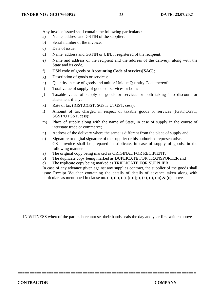Any invoice issued shall contain the following particulars :

- a) Name, address and GSTIN of the supplier;
- b) Serial number of the invoice;
- c) Date of issue;
- d) Name, address and GSTIN or UIN, if registered of the recipient;
- e) Name and address of the recipient and the address of the delivery, along with the State and its code,
- f) HSN code of goods or **Accounting Code of services[SAC];**
- g) Description of goods or services;
- h) Quantity in case of goods and unit or Unique Quantity Code thereof;
- i) Total value of supply of goods or services or both;
- j) Taxable value of supply of goods or services or both taking into discount or abatement if any;
- k) Rate of tax (IGST,CGST, SGST/ UTGST, cess);
- l) Amount of tax charged in respect of taxable goods or services (IGST,CGST, SGST/UTGST, cess);
- m) Place of supply along with the name of State, in case of supply in the course of interstate trade or commerce;
- n) Address of the delivery where the same is different from the place of supply and
- o) Signature or digital signature of the supplier or his authorised representative. GST invoice shall be prepared in triplicate, in case of supply of goods, in the following manner
- a) The original copy being marked as ORIGINAL FOR RECIPIENT;
- b) The duplicate copy being marked as DUPLICATE FOR TRANSPORTER and
- c) The triplicate copy being marked as TRIPLICATE FOR SUPPLIER.

In case of any advance given against any supplies contract, the supplier of the goods shall issue Receipt Voucher containing the details of details of advance taken along with particulars as mentioned in clause no. (a), (b), (c), (d), (g), (k), (l), (m) & (o) above.

IN WITNESS whereof the parties hereunto set their hands seals the day and year first written above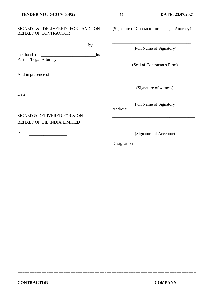#### SIGNED & DELIVERED FOR AND ON BEHALF OF CONTRACTOR

| the hand of            | its |
|------------------------|-----|
| Partner/Legal Attorney |     |

\_\_\_\_\_\_\_\_\_\_\_\_\_\_\_\_\_\_\_\_\_\_\_\_\_\_\_\_\_\_\_\_\_\_\_\_\_

 $\frac{1}{\sqrt{2\pi}}$  by

And in presence of

Date:

Date : \_\_\_\_\_\_\_\_\_\_\_\_\_\_\_\_\_\_

SIGNED & DELIVERED FOR & ON BEHALF OF OIL INDIA LIMITED

(Signature of Contractor or his legal Attorney)

\_\_\_\_\_\_\_\_\_\_\_\_\_\_\_\_\_\_\_\_\_\_\_\_\_\_\_\_\_\_\_\_\_\_\_\_\_

(Full Name of Signatory)

\_\_\_\_\_\_\_\_\_\_\_\_\_\_\_\_\_\_\_\_\_\_\_\_\_\_\_\_\_\_\_\_\_\_\_ (Seal of Contractor's Firm)

(Signature of witness)

\_\_\_\_\_\_\_\_\_\_\_\_\_\_\_\_\_\_\_\_\_\_\_\_\_\_\_\_\_\_\_\_\_\_\_\_\_\_\_

(Full Name of Signatory)

\_\_\_\_\_\_\_\_\_\_\_\_\_\_\_\_\_\_\_\_\_\_\_\_\_\_\_\_\_\_\_\_\_\_\_\_\_\_\_

Address:

**==========================================================================**

(Signature of Acceptor)

\_\_\_\_\_\_\_\_\_\_\_\_\_\_\_\_\_\_\_\_\_\_\_\_\_\_\_\_\_\_\_\_\_\_\_\_\_\_\_

\_\_\_\_\_\_\_\_\_\_\_\_\_\_\_\_\_\_\_\_\_\_\_\_\_\_\_\_\_\_\_\_\_\_\_\_\_\_\_

Designation \_\_\_\_\_\_\_\_\_\_\_\_\_\_\_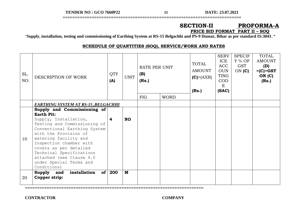**TENDER NO : GCO 7660P22** 30 **DATE: 23.07.2021**

### **SECTION-II PROFORMA-A PRICE BID FORMAT PART II – SOQ**

"**Supply, installation, testing and commissioning of Earthing System at RS-15 Belgachhi and PS-9 Dumar, Bihar as per standard IS:3043.***"*

**==========================================================================**

#### **SCHEDULE OF QUANTITIES (SOQ), SERVICE/WORK AND RATES**

| SL.<br>NO. | DESCRIPTION OF WORK                                                                                                                                                                                                                                                                                                                                | <b>QTY</b><br>(A) | <b>UNIT</b> | RATE PER UNIT<br>(B)<br>(Rs.) |             | <b>TOTAL</b><br><b>AMOUNT</b><br>$(C) = (AXB)$<br>(Rs.) | <b>SERV</b><br>ICE<br><b>ACC</b><br><b>OUN</b><br>TING<br><b>COD</b><br>E<br>(SAC) | <b>SPECIF</b><br>$Y\%$ OF<br>GST<br>$ON$ (C) | TOTAL<br><b>AMOUNT</b><br>(D)<br>$=(C) + GST$<br>ON(C)<br>(Rs.) |
|------------|----------------------------------------------------------------------------------------------------------------------------------------------------------------------------------------------------------------------------------------------------------------------------------------------------------------------------------------------------|-------------------|-------------|-------------------------------|-------------|---------------------------------------------------------|------------------------------------------------------------------------------------|----------------------------------------------|-----------------------------------------------------------------|
|            |                                                                                                                                                                                                                                                                                                                                                    |                   |             | <b>FIG</b>                    | <b>WORD</b> |                                                         |                                                                                    |                                              |                                                                 |
|            | <b>EARTHING SYSTEM AT RS-15 ,BELGACHHI</b>                                                                                                                                                                                                                                                                                                         |                   |             |                               |             |                                                         |                                                                                    |                                              |                                                                 |
| 10         | Supply and Commissioning of<br><b>Earth Pit:</b><br>Supply, Installation,<br>Testing and Commissioning of<br>Conventional Earthing System<br>with the Provision of<br>watering facility and<br>Inspection chamber with<br>covers as per detailed<br>Technical Specifications<br>attached (see Clause 4.0<br>under Special Terms and<br>Conditions) | 4                 | <b>NO</b>   |                               |             |                                                         |                                                                                    |                                              |                                                                 |
| 20         | of <sub>l</sub><br>Supply<br>installation<br>and<br>Copper strip:                                                                                                                                                                                                                                                                                  | 200               | M           |                               |             |                                                         |                                                                                    |                                              |                                                                 |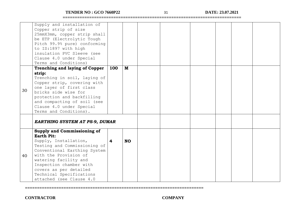**TENDER NO : GCO 7660P22** 31 **DATE: 23.07.2021**

**==========================================================================**

|    | Supply and installation of<br>Copper strip of size<br>25mmX3mm, copper strip shall<br>be ETP (Electrolytic Tough<br>Pitch 99.9% pure) conforming<br>to IS:1897 with high<br>insulation PVC Sleeve (see<br>Clause 4.0 under Special<br>Terms and Conditions)                                              |     |           |  |  |  |
|----|----------------------------------------------------------------------------------------------------------------------------------------------------------------------------------------------------------------------------------------------------------------------------------------------------------|-----|-----------|--|--|--|
|    | <b>Trenching and laying of Copper</b>                                                                                                                                                                                                                                                                    | 100 | M         |  |  |  |
| 30 | strip:<br>Trenching in soil, laying of<br>Copper strip, covering with<br>one layer of first class<br>bricks side wise for<br>protection and backfilling<br>and compacting of soil (see<br>Clause 4.0 under Special<br>Terms and Conditions).                                                             |     |           |  |  |  |
|    | <b>EARTHING SYSTEM AT PS-9, DUMAR</b>                                                                                                                                                                                                                                                                    |     |           |  |  |  |
| 40 | Supply and Commissioning of<br><b>Earth Pit:</b><br>Supply, Installation,<br>Testing and Commissioning of<br>Conventional Earthing System<br>with the Provision of<br>watering facility and<br>Inspection chamber with<br>covers as per detailed<br>Technical Specifications<br>attached (see Clause 4.0 | 4   | <b>NO</b> |  |  |  |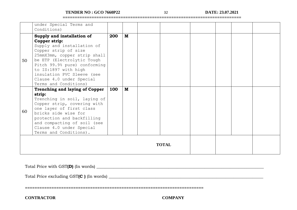**TENDER NO : GCO 7660P22** 32 **DATE: 23.07.2021**

**==========================================================================**

|              | under Special Terms and<br>Conditions)                                                                                                                                                                                                                                                |     |     |  |  |  |  |  |  |
|--------------|---------------------------------------------------------------------------------------------------------------------------------------------------------------------------------------------------------------------------------------------------------------------------------------|-----|-----|--|--|--|--|--|--|
|              | Supply and installation of                                                                                                                                                                                                                                                            | 200 | $M$ |  |  |  |  |  |  |
| 50           | Copper strip:<br>Supply and installation of<br>Copper strip of size<br>25mmX3mm, copper strip shall<br>be ETP (Electrolytic Tough<br>Pitch 99.9% pure) conforming<br>to IS:1897 with high<br>insulation PVC Sleeve (see<br>Clause 4.0 under Special<br>Terms and Conditions)          |     |     |  |  |  |  |  |  |
| 60           | <b>Trenching and laying of Copper</b><br>strip:<br>Trenching in soil, laying of<br>Copper strip, covering with<br>one layer of first class<br>bricks side wise for<br>protection and backfilling<br>and compacting of soil (see<br>Clause 4.0 under Special<br>Terms and Conditions). | 100 | M   |  |  |  |  |  |  |
| <b>TOTAL</b> |                                                                                                                                                                                                                                                                                       |     |     |  |  |  |  |  |  |

**==========================================================================**

Total Price with GST**(D)** (In words) \_\_\_\_\_\_\_\_\_\_\_\_\_\_\_\_\_\_\_\_\_\_\_\_\_\_\_\_\_\_\_\_\_\_\_\_\_\_\_\_\_\_\_\_\_\_\_\_\_\_\_\_\_\_\_\_\_\_\_\_\_\_\_\_\_\_\_\_\_\_\_\_\_\_\_\_\_\_\_

Total Price excluding GST**(C )** (In words) \_\_\_\_\_\_\_\_\_\_\_\_\_\_\_\_\_\_\_\_\_\_\_\_\_\_\_\_\_\_\_\_\_\_\_\_\_\_\_\_\_\_\_\_\_\_\_\_\_\_\_\_\_\_\_\_\_\_\_\_\_\_\_\_\_\_\_\_\_\_\_\_\_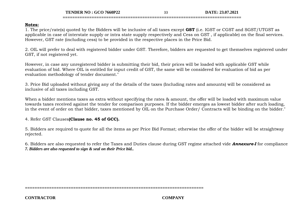**TENDER NO : GCO 7660P22** 33 **DATE: 23.07.2021**

#### **Notes:**

1. The price/rate(s) quoted by the Bidders will be inclusive of all taxes except **GST** (i.e. IGST or CGST and SGST/UTGST as applicable in case of interstate supply or intra state supply respectively and Cess on GST , if applicable) on the final services. However, GST rate (including cess) to be provided in the respective places in the Price Bid.

**==========================================================================**

2. OIL will prefer to deal with registered bidder under GST. Therefore, bidders are requested to get themselves registered under GST, if not registered yet.

However, in case any unregistered bidder is submitting their bid, their prices will be loaded with applicable GST while evaluation of bid. Where OIL is entitled for input credit of GST, the same will be considered for evaluation of bid as per evaluation methodology of tender document."

3. Price Bid uploaded without giving any of the details of the taxes (Including rates and amounts) will be considered as inclusive of all taxes including GST.

When a bidder mentions taxes as extra without specifying the rates & amount, the offer will be loaded with maximum value towards taxes received against the tender for comparison purposes. If the bidder emerges as lowest bidder after such loading, in the event of order on that bidder, taxes mentioned by OIL on the Purchase Order/ Contracts will be binding on the bidder."

4. Refer GST Clauses**(Clause no. 45 of GCC).**

5. Bidders are required to quote for all the items as per Price Bid Format; otherwise the offer of the bidder will be straightway rejected.

6. Bidders are also requested to refer the Taxes and Duties clause during GST regime attached vide *Annexure-I* for compliance *7. Bidders are also requested to sign & seal on their Price bid..*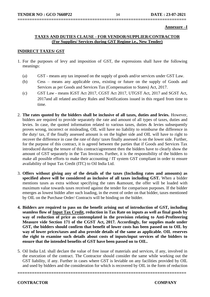**Annexure –I**

#### **TAXES AND DUTIES CLAUSE - FOR VENDOR/SUPPLIER/CONTRACTOR (For Supplies/ Services during GST Regime i.e., New Tender)**

**======================================================================**

#### **INDIRECT TAXES/ GST**

- 1. For the purposes of levy and imposition of GST, the expressions shall have the following meanings:
	- (a) GST means any tax imposed on the supply of goods and/or services under GST Law.
	- (b) Cess means any applicable cess, existing or future on the supply of Goods and Services as per Goods and Services Tax (Compensation to States) Act, 2017.
	- (c) GST Law means IGST Act 2017, CGST Act 2017, UTGST Act, 2017 and SGST Act, 2017and all related ancillary Rules and Notifications issued in this regard from time to time.
- 2. **The rates quoted by the bidders shall be inclusive of all taxes, duties and levies.** However, bidders are required to provide separately the rate and amount of all types of taxes, duties and levies. In case, the quoted information related to various taxes, duties & levies subsequently proves wrong, incorrect or misleading, OIL will have no liability to reimburse the difference in the duty/ tax, if the finally assessed amount is on the higher side and OIL will have to right to recover the difference in case the rate of duty/ taxes finally assessed is on the lower side. Further, for the purpose of this contract, it is agreed between the parties that if Goods and Services Tax introduced during the tenure of this contract/agreement then the bidders have to clearly show the amount of GST separately in the Tax Invoices. Further, it is the responsibility of the bidders to make all possible efforts to make their accounting / IT system GST compliant in order to ensure availability of Input Tax Credit (ITC) to Oil India Ltd.
- 3. **Offers without giving any of the details of the taxes (Including rates and amounts) as specified above will be considered as inclusive of all taxes including GST.** When a bidder mentions taxes as extra without specifying the rates &amount, the offer will be loaded with maximum value towards taxes received against the tender for comparison purposes. If the bidder emerges as lowest bidder after such loading, in the event of order on that bidder, taxes mentioned by OIL on the Purchase Order/ Contracts will be binding on the bidder.
- **4. Bidders are required to pass on the benefit arising out of introduction of GST, including seamless flow of Input Tax Credit, reduction in Tax Rate on inputs as well as final goods by way of reduction of price as contemplated in the provision relating to Anti-Profiteering Measure vide Section 171 of the CGST Act, 2017. Accordingly, for supplies made under GST, the bidders should confirm that benefit of lower costs has been passed on to OIL by way of lower prices/taxes and also provide details of the same as applicable. OIL reserves the right to examine such details about costs of inputs/input services of the bidders to ensure that the intended benefits of GST have been passed on to OIL.**
- 5. Oil India Ltd. shall declare the value of free issue of materials and services, if any, involved in the execution of the contract. The Contractor should consider the same while working out the GST liability, if any. Further in cases where GST is leviable on any facilities provided by OIL and used by bidders and the consideration for which is recovered by OIL in the form of reduction

**======================================================================**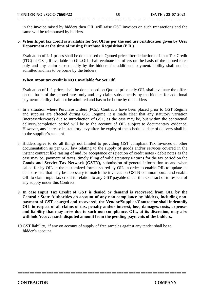in the invoice raised by bidders then OIL will raise GST invoices on such transactions and the same will be reimbursed by bidders.

**======================================================================**

#### **6. When Input tax credit is available for Set Off as per the end use certification given by User Department at the time of raising Purchase Requisition (P.R.)**

Evaluation of L-1 prices shall be done based on Quoted price after deduction of Input Tax Credit (ITC) of GST, if available to OIL.OIL shall evaluate the offers on the basis of the quoted rates only and any claim subsequently by the bidders for additional payment/liability shall not be admitted and has to be borne by the bidders

#### **When Input tax credit is NOT available for Set Off**

Evaluation of L-1 prices shall be done based on Quoted price only.OIL shall evaluate the offers on the basis of the quoted rates only and any claim subsequently by the bidders for additional payment/liability shall not be admitted and has to be borne by the bidders

- 7. In a situation where Purchase Orders (POs)/ Contracts have been placed prior to GST Regime and supplies are effected during GST Regime, it is made clear that any statutory variation (increase/decrease) due to introduction of GST, as the case may be, but within the contractual delivery/completion period will be to the account of OIL subject to documentary evidence. However, any increase in statutory levy after the expiry of the scheduled date of delivery shall be to the supplier's account.
- 8. Bidders agree to do all things not limited to providing GST compliant Tax Invoices or other documentation as per GST law relating to the supply of goods and/or services covered in the instant contract like raising of and /or acceptance or rejection of credit notes / debit notes as the case may be, payment of taxes, timely filing of valid statutory Returns for the tax period on the **Goods and Service Tax Network (GSTN),** submission of general information as and when called for by OIL in the customized format shared by OIL in order to enable OIL to update its database etc. that may be necessary to match the invoices on GSTN common portal and enable OIL to claim input tax credit in relation to any GST payable under this Contract or in respect of any supply under this Contract.
- **9. In case Input Tax Credit of GST is denied or demand is recovered from OIL by the Central / State Authorities on account of any non-compliance by bidders, including nonpayment of GST charged and recovered, the Vendor/Supplier/Contractor shall indemnify OIL in respect of all claims of tax, penalty and/or interest, loss, damages, costs, expenses and liability that may arise due to such non-compliance. OIL, at its discretion, may also withhold/recover such disputed amount from the pending payments of the bidders.**

**======================================================================** 

10.GST liability, if any on account of supply of free samples against any tender shall be to bidder's account.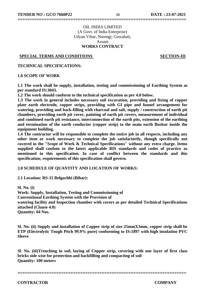#### OIL INDIA LIMITED (A Govt. of India Enterprise) Udyan Vihar, Narengi, Guwahati, Assam **WORKS CONTRACT**

#### **SPECIAL TERMS AND CONDITIONS SECTION-III**

**TECHNICAL SPECIFICATIONS:**

#### **1.0 SCOPE OF WORK**

**1.1 The work shall be supply, installation, testing and commissioning of Earthing System as per standard IS:3043.**

**1.2 The work should conform to the technical specification as per 4.0 below.**

**1.3 The work in general includes necessary soil excavation, providing and fixing of copper plate earth electrode, copper strips, providing with GI pipe and funnel arrangement for watering, providing and back-filling with charcoal and salt, supply / construction of earth pit chambers, providing earth pit cover, painting of earth pit covers, measurement of individual and combined earth pit resistance, interconnection of the earth pits, extension of the earthing and termination of the earth conductor (copper strip) to the main earth Busbar inside the equipment building.**

**1.4 The contractor will be responsible to complete the entire job in all respects, including any other item or work necessary to complete the job satisfactorily, though specifically not covered in the "Scope of Work & Technical Specifications" without any extra charge. Items supplied shall confom to the latest applicable BIS standards and codes of practice as mentioned in this specification. In case of conflict between the standards and this specification; requirements of this specification shall govern.**

#### **2.0 SCHEDULE OF QUANTITY AND LOCATION OF WORKS:**

**2.1 Location: RS-15 Belgachhi (Bihar):**

**Sl. No. (i) Work: Supply, Installation, Testing and Commissioning of Conventional Earthing System with the Provision of watering facility and Inspection chamber with covers as per detailed Technical Specifications attached (Clause 4.0) Quantity: 04 Nos.**

**Sl. No. (ii) Supply and installation of Copper strip of size 25mmX3mm, copper strip shall be ETP (Electrolytic Tough Pitch 99.9% pure) conforming to IS:1897 with high insulation PVC Sleeve**

**Sl. No. (iii)Trenching in soil, laying of Copper strip, covering with one layer of first class bricks side wise for protection and backfilling and compacting of soil Quantity: 100 meters**

**======================================================================**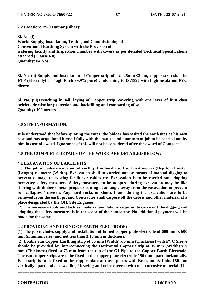**======================================================================**

#### **2.2 Location: PS-9 Dumar (Bihar):**

**Sl. No. (i) Work: Supply, Installation, Testing and Commissioning of Conventional Earthing System with the Provision of watering facility and Inspection chamber with covers as per detailed Technical Specifications attached (Clause 4.0) Quantity: 04 Nos.**

**Sl. No. (ii) Supply and installation of Copper strip of size 25mmX3mm, copper strip shall be ETP (Electrolytic Tough Pitch 99.9% pure) conforming to IS:1897 with high insulation PVC Sleeve**

**Sl. No. (iii)Trenching in soil, laying of Copper strip, covering with one layer of first class bricks side wise for protection and backfilling and compacting of soil Quantity: 100 meters**

#### **3.0 SITE INFORMATION:**

**It is understood that before quoting the rates, the bidder has visited the worksites at his own cost and has acquainted himself fully with the nature and quantum of job to be carried out by him in case of award. Ignorance of this will not be considered after the award of Contract.**

#### **4.0 THE COMPLETE DETAILS OF THE WORK ARE DETAILED BELOW:**

#### **4.1 EXCAVATION OF EARTH PITS:**

**(1) The job includes excavation of earth pit in hard / soft soil to 4 meters (Depth) x1 meter (Length) x1 meter (Width). Excavation shall be carried out by means of manual digging to prevent damage to existing facilities / cables etc. Excavation is to be carried out adopting necessary safety measures. Safety measures to be adopted during excavation may be like shoring with timber / metal props or cutting at an angle away from the excavation to prevent soil collapses / cave-in. Any hard rocks or stones found during the excavation are to be removed from the earth pit and Contractor shall dispose off the debris and other material at a place designated by the OIL Site Engineer.**

**(2) The necessary tools and tackles, material and labour required to carry out the digging and adopting the safety measures is in the scope of the contractor. No additional payment will be made for the same.**

#### **4.2 PROVIDING AND FIXING OF EARTH ELECTRODE:**

**(1) The job includes supply and installation of tinned copper plate electrode of 600 mm x 600 mm (minimum size) and not less than 3.18 mm in thickness.**

**(2) Double run Copper Earthing strip of 35 mm (Width) x 5 mm (Thickness) with PVC Sleeve should be provided for interconnecting the Horizontal Copper Strip of 35 mm (Width) x 5 mm (Thickness) fixed at 75 mm from the top of the GI Pipe to the Copper Earth Electrode. The two copper strips are to be fixed to the copper plate electrode 150 mm apart horizontally. Each strip is to be fixed to the copper plate at three places with Brass nut & bolts 150 mm vertically apart and also welding / brazing and to be covered with non-corrosive material. The**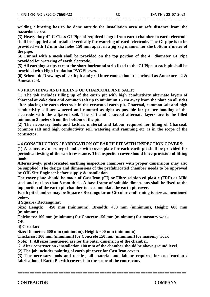**welding / brazing has to be done outside the installation area at safe distance from the hazardous area.**

**======================================================================**

**(3) Heavy duty 4" C-Class GI Pipe of required length from earth chamber to earth electrode shall be supplied and installed vertically for watering of earth electrode. The GI pipe is to be provided with 12 mm dia holes 150 mm apart in a jig zag manner for the bottom 2 meter of the pipe.**

**(4) Funnel with a mesh shall be provided on the top portion of the 4" diameter GI Pipe provided for watering of earth electrode.**

**(5) All earthing strips except the short horizontal strip fixed to the GI Pipe at each pit shall be provided with High Insulation PVC Sleeves.**

**(6) Schematic Drawings of earth pit and grid inter connection are enclosed as Annexure - 2 & Annexure-3.**

#### **4.3 PROVIDING AND FILLING OF CHARCOAL AND SALT:**

**(1) The job includes filling up of the earth pit with high conductivity alternate layers of charcoal or coke dust and common salt up to minimum 15 cm away from the plate on all sides after placing the earth electrode in the excavated earth pit. Charcoal, common salt and high conductivity soil are watered and rammed as tight as possible for proper bonding of the electrode with the adjacent soil. The salt and charcoal alternate layers are to be filled minimum 3 meters from the bottom of the pit.**

**(2) The necessary tools and tackles, material and labour required for filling of Charcoal, common salt and high conductivity soil, watering and ramming etc. is in the scope of the contractor.**

#### **4.4 CONSTRUCTION / FABRICATION OF EARTH PIT WITH INSPECTION COVERS:**

**(1) A concrete / masonry chamber with cover plate for each earth pit shall be provided for periodical testing of the earth resistance. The inspection cover should have provision of lifting hook.**

**Alternatively, prefabricated earthing inspection chambers with proper dimensions may also be supplied. The design and dimensions of the prefabricated chamber needs to be approved by OIL Site Engineer before supply & installation.**

**The cover plate should be made of Cast Iron (CI) or Fibre-reinforced plastic (FRP) or Mild steel and not less than 8 mm thick. A base frame of suitable dimensions shall be fixed to the top portion of the earth pit chamber to accommodate the earth pit cover.**

**Earth pit chamber may be Square / Rectangular or Circular conforming to size as mentioned below.**

**i) Square / Rectangular:**

**Size: Length: 450 mm (minimum), Breadth: 450 mm (minimum), Height: 600 mm (minimum)**

**Thickness: 100 mm (minimum) for Concrete 150 mm (minimum) for masonry work OR**

**ii) Circular:**

**Size: Diameter: 600 mm (minimum), Height: 600 mm (minimum)**

**Thickness: 100 mm (minimum) for Concrete 150 mm (minimum) for masonry work**

**Note: 1. All sizes mentioned are for the outer dimension of the chamber.**

**2. After construction / installation 100 mm of the chamber should be above ground level.**

**(2) The job includes painting of earth pit cover for Cast Iron covers.**

**(3) The necessary tools and tackles, all material and labour required for construction / fabrication of Earth Pit with covers is in the scope of the contractor.**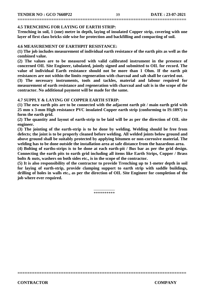#### **4.5 TRENCHING FOR LAYING OF EARTH STRIP:**

**Trenching in soil, 1 (one) metre in depth, laying of insulated Copper strip, covering with one layer of first class bricks side wise for protection and backfilling and compacting of soil.**

#### **4.6 MEASUREMENT OF EARTHPIT RESISTANCE:**

**(1) The job includes measurement of individual earth resistance of the earth pits as well as the combined value.**

**(2) The values are to be measured with valid calibrated instrument in the presence of concerned OIL Site Engineer, tabulated, jointly signed and submitted to OIL for record. The value of individual Earth resistance should not be more than 1 Ohm. If the earth pit resistances are not within the limits regeneration with charcoal and salt shall be carried out.**

**(3) The necessary instruments, tools and tackles, material and labour required for measurement of earth resistance and regeneration with charcoal and salt is in the scope of the contractor. No additional payment will be made for the same.**

#### **4.7 SUPPLY & LAYING OF COPPER EARTH STRIP:**

**(1) The new earth pits are to be connected with the adjacent earth pit / main earth grid with 25 mm x 3-mm High resistance PVC insulated Copper earth strip (conforming to IS:1897) to form the earth grid.**

**(2) The quantity and layout of earth-strip to be laid will be as per the direction of OIL site engineer.**

**(3) The jointing of the earth-strip is to be done by welding. Welding should be free from defects; the joint is to be properly cleaned before welding. All welded joints below ground and above ground shall be suitably protected by applying bitumen or non-corrosive material. The welding has to be done outside the installation area at safe distance from the hazardous area.**

**(4) Bolting of earths-strips is to be done at each earth-pit / Bus bar as per the grid design. Connecting the earth pits to earth grid including all items like Earth Strips, Copper / Brass bolts & nuts, washers on both sides etc., is in the scope of the contractor.**

**(5) It is also responsibility of the contractor to provide Trenching up to 1-meter depth in soil for laying of earth-strip, provide clamping support to earth strip with saddle buildings, drilling of holes in walls etc., as per the direction of OIL Site Engineer for completion of the job where ever required.**

> $\overline{\phantom{a}}$ \*\*\*\*\*\*\*\*\*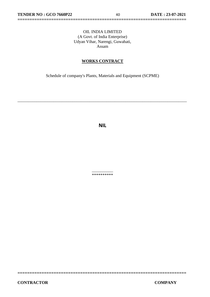#### OIL INDIA LIMITED (A Govt. of India Enterprise) Udyan Vihar, Narengi, Guwahati, Assam

**======================================================================**

#### **WORKS CONTRACT**

Schedule of company's Plants, Materials and Equipment (SCPME)

\_\_\_\_\_\_\_\_\_\_\_\_\_\_\_\_\_\_\_\_\_\_\_\_\_\_\_\_\_\_\_\_\_\_\_\_\_\_\_\_\_\_\_\_\_\_\_\_\_\_\_\_\_\_\_\_\_\_\_\_\_\_\_\_\_\_\_\_\_\_\_\_\_\_\_\_\_\_\_\_

**NIL**

 $\overline{\phantom{a}}$ \*\*\*\*\*\*\*\*\*\*

**======================================================================**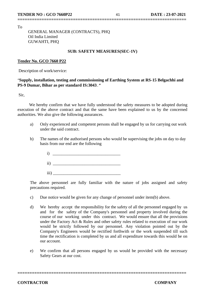To

 GENERAL MANAGER (CONTRACTS), PHQ Oil India Limited GUWAHTI, PHQ

#### **SUB: SAFETY MEASURES(SEC-1V)**

**======================================================================**

#### **Tender No. GCO 7660 P22**

Description of work/service:

#### "**Supply, installation, testing and commissioning of Earthing System at RS-15 Belgachhi and PS-9 Dumar, Bihar as per standard IS:3043.***"*

Sir,

 We hereby confirm that we have fully understood the safety measures to be adopted during execution of the above contract and that the same have been explained to us by the concerned authorities. We also give the following assurances.

- a) Only experienced and competent persons shall be engaged by us for carrying out work under the said contract.
- b) The names of the authorised persons who would be supervising the jobs on day to day basis from our end are the following
	- $i)$  $ii)$
	- $\overline{\text{iii}}$

The above personnel are fully familiar with the nature of jobs assigned and safety precautions required.

- c) Due notice would be given for any change of personnel under item(b) above.
- d) We hereby accept the responsibility for the safety of all the personnel engaged by us and for the safety of the Company's personnel and property involved during the course of our working under this contract. We would ensure that all the provisions under the Factory Act & Rules and other safety rules related to execution of our work would be strictly followed by our personnel. Any violation pointed out by the Company's Engineers would be rectified forthwith or the work suspended till such time the rectification is completed by us and all expenditure towards this would be on our account.
- e) We confirm that all persons engaged by us would be provided with the necessary Safety Gears at our cost.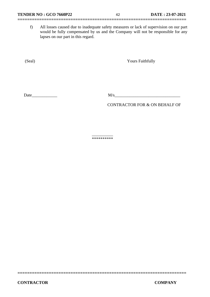f) All losses caused due to inadequate safety measures or lack of supervision on our part would be fully compensated by us and the Company will not be responsible for any lapses on our part in this regard.

(Seal) Yours Faithfully

Date  $\frac{M}{s}$ 

CONTRACTOR FOR & ON BEHALF OF

 $\overline{\phantom{a}}$ \*\*\*\*\*\*\*\*\*\*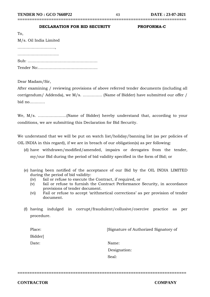# **======================================================================**

## **DECLARATION FOR BID SECURITY PROFORMA-C**

| To,                    |
|------------------------|
| M/s. Oil India Limited |
|                        |
|                        |
|                        |
|                        |

Dear Madam/Sir,

After examining / reviewing provisions of above referred tender documents (including all corrigendum/ Addenda), we M/s. …………… (Name of Bidder) have submitted our offer / bid no…………

We, M/s. ………………….(Name of Bidder) hereby understand that, according to your conditions, we are submitting this Declaration for Bid Security.

We understand that we will be put on watch list/holiday/banning list (as per policies of OIL INDIA in this regard), if we are in breach of our obligation(s) as per following:

- (d) have withdrawn/modified/amended, impairs or derogates from the tender, my/our Bid during the period of bid validity specified in the form of Bid; or
- (e) having been notified of the acceptance of our Bid by the OIL INDIA LIMITED during the period of bid validity:
	- (iv) fail or refuse to execute the Contract, if required, or
	- (v) fail or refuse to furnish the Contract Performance Security, in accordance provisions of tender document.
	- (vi) Fail or refuse to accept 'arithmetical corrections' as per provision of tender document.
- (f) having indulged in corrupt/fraudulent/collusive/coercive practice as per procedure.

| [Signature of Authorized Signatory of |
|---------------------------------------|
|                                       |
|                                       |
|                                       |
|                                       |
|                                       |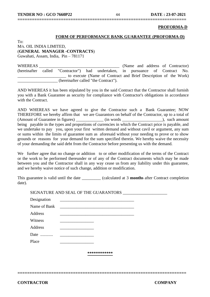#### **PROFORMA-D**

#### **FORM OF PERFORMANCE BANK GUARANTEE (PROFORMA-D)**

 $To^{\dagger}$ M/s. OIL INDIA LIMITED, (**GENERAL MANAGER -CONTRACTS**) Guwahati, Assam, India, Pin – 781171

WHEREAS **EXECUTE:** (Name and address of Contractor) (hereinafter called "Contractor") had undertaken, in pursuance of Contract No. \_\_\_\_\_\_\_\_\_\_\_\_\_\_\_\_\_\_\_\_\_\_\_ to execute (Name of Contract and Brief Description of the Work) \_\_\_\_\_\_\_\_\_\_\_\_\_\_\_\_\_\_\_ (hereinafter called "the Contract").

**======================================================================**

AND WHEREAS it has been stipulated by you in the said Contract that the Contractor shall furnish you with a Bank Guarantee as security for compliance with Contractor's obligations in accordance with the Contract.

AND WHEREAS we have agreed to give the Contractor such a Bank Guarantee; NOW THEREFORE we hereby affirm that we are Guarantors on behalf of the Contractor, up to a total of (Amount of Guarantee in figures) \_\_\_\_\_\_\_\_\_\_\_\_\_ (in words \_\_\_\_\_\_\_\_\_\_\_\_\_\_\_\_\_\_\_), such amount being payable in the types and proportions of currencies in which the Contract price is payable, and we undertake to pay you, upon your first written demand and without cavil or argument, any sum or sums within the limits of guarantee sum as aforesaid without your needing to prove or to show grounds or reasons for your demand for the sum specified therein. We hereby waive the necessity of your demanding the said debt from the Contractor before presenting us with the demand.

We further agree that no change or addition to or other modification of the terms of the Contract or the work to be performed thereunder or of any of the Contract documents which may be made between you and the Contractor shall in any way cease us from any liability under this guarantee, and we hereby waive notice of such change, addition or modification.

This guarantee is valid until the date \_\_\_\_\_\_\_\_\_ (calculated at 3 **months** after Contract completion date).

SIGNATURE AND SEAL OF THE GUARANTORS \_\_\_\_\_\_\_\_\_\_\_\_\_\_\_\_\_\_\_\_\_

| Designation  |              |  |  |
|--------------|--------------|--|--|
| Name of Bank |              |  |  |
| Address      |              |  |  |
| Witness      |              |  |  |
| Address      |              |  |  |
| Date         |              |  |  |
| Place        |              |  |  |
|              |              |  |  |
|              | ************ |  |  |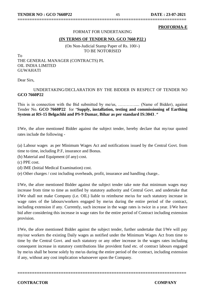#### **PROFORMA-E**

#### FORMAT FOR UNDERTAKING

**======================================================================**

#### **(IN TERMS OF TENDER NO. GCO 7660 P22 )**

(On Non-Judicial Stamp Paper of Rs. 100/-) TO BE NOTORISED

To THE GENERAL MANAGER (CONTRACTS) PL OIL INDIA LIMITED **GUWAHATI** 

Dear Sirs,

#### UNDERTAKING/DECLARATION BY THE BIDDER IN RESPECT OF TENDER NO **GCO 7660P22**

This is in connection with the Bid submitted by me/us, ………….... (Name of Bidder), against Tender No. **GCO 7660P22** for "**Supply, installation, testing and commissioning of Earthing System at RS-15 Belgachhi and PS-9 Dumar, Bihar as per standard IS:3043.***"*

I/We, the afore mentioned Bidder against the subject tender, hereby declare that my/our quoted rates include the following -

(a) Labour wages as per Minimum Wages Act and notifications issued by the Central Govt. from time to time, including P.F, insurance and Bonus.

(b) Material and Equipment (if any) cost.

(c) PPE cost.

(d) IME (Initial Medical Examination) cost.

(e) Other charges / cost including overheads, profit, insurance and handling charge..

I/We, the afore mentioned Bidder against the subject tender take note that minimum wages may increase from time to time as notified by statutory authority and Central Govt. and undertake that I/We shall not make Company (i.e. OIL) liable to reimburse me/us for such statutory increase in wage rates of the labours/workers engaged by me/us during the entire period of the contract, including extension if any. Currently, such increase in the wage rates is twice in a year. I/We have bid after considering this increase in wage rates for the entire period of Contract including extension provision.

I/We, the afore mentioned Bidder against the subject tender, further undertake that I/We will pay my/our workers the existing Daily wages as notified under the Minimum Wages Act from time to time by the Central Govt. and such statutory or any other increase in the wages rates including consequent increase in statutory contributions like provident fund etc. of contract labours engaged by me/us shall be borne solely by me/us during the entire period of the contract, including extension if any, without any cost implication whatsoever upon the Company.

**======================================================================**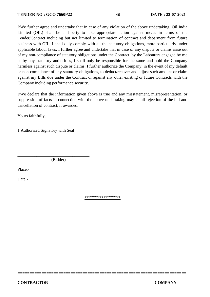I/We further agree and undertake that in case of any violation of the above undertaking, Oil India Limited (OIL) shall be at liberty to take appropriate action against me/us in terms of the Tender/Contract including but not limited to termination of contract and debarment from future business with OIL. I shall duly comply with all the statutory obligations, more particularly under applicable labour laws. I further agree and undertake that in case of any dispute or claims arise out of my non-compliance of statutory obligations under the Contract, by the Labourers engaged by me or by any statutory authorities, I shall only be responsible for the same and hold the Company harmless against such dispute or claims. I further authorize the Company, in the event of my default or non-compliance of any statutory obligations, to deduct/recover and adjust such amount or claim against my Bills due under the Contract or against any other existing or future Contracts with the Company including performance security.

**======================================================================**

I/We declare that the information given above is true and any misstatement, misrepresentation, or suppression of facts in connection with the above undertaking may entail rejection of the bid and cancellation of contract, if awarded.

Yours faithfully,

1.Authorized Signatory with Seal

(Bidder)

\_\_\_\_\_\_\_\_\_\_\_\_\_\_\_\_\_\_\_\_\_\_\_\_\_\_\_\_\_\_\_\_\_\_

Place:-

Date:-

\*\*\*\*\*\*\*\*\*\*\*\*\*\*\*\*\*

**======================================================================**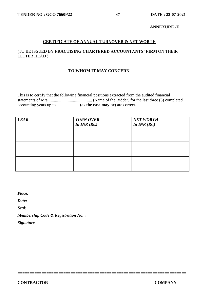#### **ANNEXURE -F**

#### **CERTIFICATE OF ANNUAL TURNOVER & NET WORTH**

**======================================================================**

#### **(**TO BE ISSUED BY **PRACTISING CHARTERED ACCOUNTANTS' FIRM** ON THEIR LETTER HEAD **)**

#### **TO WHOM IT MAY CONCERN**

This is to certify that the following financial positions extracted from the audited financial statements of M/s.......................................... (Name of the Bidder) for the last three (3) completed accounting years up to ……………..**(as the case may be)** are correct.

| <b>YEAR</b> | <b>TURN OVER</b> | <b>NET WORTH</b> |
|-------------|------------------|------------------|
|             | In $INR(Rs.)$    | In $INR(Rs.)$    |
|             |                  |                  |
|             |                  |                  |
|             |                  |                  |
|             |                  |                  |
|             |                  |                  |
|             |                  |                  |
|             |                  |                  |
|             |                  |                  |
|             |                  |                  |

**======================================================================** 

*Place:*

*Date:*

*Seal:*

*Membership Code & Registration No. :*

*Signature*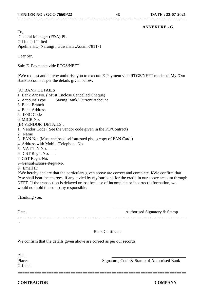#### **ANNEXURE - G**

To, General Manager (F&A) PL Oil India Limited Pipeline HQ, Narangi , Guwahati ,Assam-781171

Dear Sir,

Sub: E–Payments vide RTGS/NEFT

I/We request and hereby authorise you to execute E-Payment vide RTGS/NEFT modes to My /Our Bank account as per the details given below:

**======================================================================**

#### (A) BANK DETAILS

- 1. Bank A/c No. ( Must Enclose Cancelled Cheque)
- 2. Account Type Saving Bank/ Current Account
- 3. Bank Branch
- 4. Bank Address
- 5. IFSC Code
- 6. MICR No.

#### (B) VENDOR DETAILS :

- 1. Vendor Code ( See the vendor code given in the PO/Contract)
- 2. Name
- 3. PAN No. (Must enclosed self-attested photo copy of PAN Card )
- 4. Address with Mobile/Telephone No.
- 5. VAT TIN No.
- 6. CST Regn. No.
- 7. GST Regn. No.
- 8. Central Excise Regn.No.
- 9. Email ID

I/We hereby declare that the particulars given above are correct and complete. I/We confirm that I/we shall bear the charges, if any levied by my/our bank for the credit in our above account through NEFT. If the transaction is delayed or lost because of incomplete or incorrect information, we would not hold the company responsible.

Thanking you,

| Date:    | Authorised Signatory & Stamp |
|----------|------------------------------|
|          |                              |
| $\cdots$ |                              |

**======================================================================** 

#### Bank Certificate

We confirm that the details given above are correct as per our records.

Date: **Official** 

Place: Signature, Code & Stamp of Authorised Bank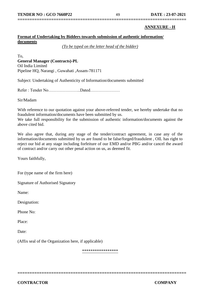#### **ANNEXURE - H**

#### **Format of Undertaking by Bidders towards submission of authentic information/ documents**

*(To be typed on the letter head of the bidder)*

**======================================================================**

To, **General Manager (Contracts)-PL** Oil India Limited Pipeline HQ, Narangi , Guwahati ,Assam-781171

Subject: Undertaking of Authenticity of Information/documents submitted

Refer : Tender No…………………..Dated…………………

Sir/Madam

With reference to our quotation against your above-referred tender, we hereby undertake that no fraudulent information/documents have been submitted by us.

We take full responsibility for the submission of authentic information/documents against the above cited bid.

We also agree that, during any stage of the tender/contract agreement, in case any of the information/documents submitted by us are found to be false/forged/fraudulent , OIL has right to reject our bid at any stage including forfeiture of our EMD and/or PBG and/or cancel the award of contract and/or carry out other penal action on us, as deemed fit.

Yours faithfully,

For (type name of the firm here)

Signature of Authorised Signatory

Name:

Designation:

Phone No:

Place:

Date:

(Affix seal of the Organization here, if applicable)

\*\*\*\*\*\*\*\*\*\*\*\*\*\*\*\*\*